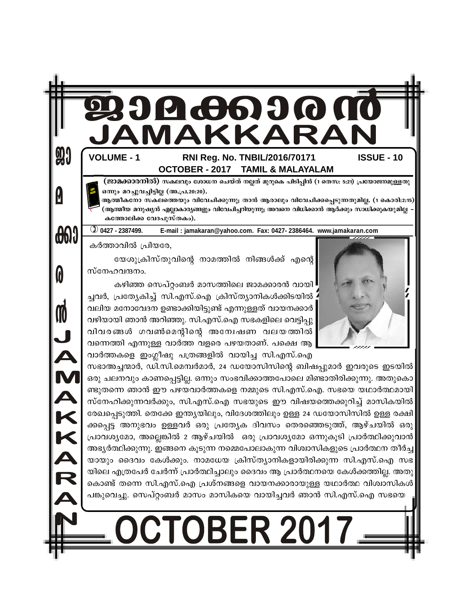# 4662 7

#### RNI Reg. No. TNBIL/2016/70171 **OCTOBER - 2017 TAMIL & MALAYALAM**

(ജാമക്കാരനിൽ) സകലവും ശോധന ചെയ്ത് നല്ലത് മുറുകെ പിടിപ്പിൻ (1 തെസ: 5:21) പ്രയോജനമുള്ളതു ഒന്നും മറച്ചുവച്ചിട്ടില്ല (അ.പ്ര.20:20).

**ISSUE - 10** 

ആത്മീകനോ സകലത്തെയും വിവേചിക്കുന്നു; താൻ ആരാലും വിവേചിക്കപ്പെടുന്നതുമില്ല. (1 കൊരി:2:15) (ആത്മീയ മനുഷ്യൻ എല്ലാകാര്യങ്ങളും വിവേചിച്ചറിയുന്നു; അവനെ വിധിക്കാൻ ആർക്കും സാധിക്കുകയുമില്ല കത്തോലിക്ക വേദപുസ്തകം).

**1** 0427 - 2387499. E-mail: jamakaran@yahoo.com. Fax: 0427-2386464. www.jamakaran.com

കർത്താവിൽ പ്രിയരേ,

**VOLUME - 1** 

90

0

 $\bigoplus \{$ 

0

M

JAMAKAR

യേശുക്രിസ്തുവിന്റെ നാമത്തിൽ നിങ്ങൾക്ക് എന്റെ സ്നേഹവന്ദനം.

കഴിഞ്ഞ സെപ്റ്റംബർ മാസത്തിലെ ജാമക്കാരൻ വായി ച്ചവർ, പ്രത്യേകിച്ച് സി.എസ്.ഐ ക്രിസ്ത്യാനികൾക്കിടയിൽ : വലിയ മനോവേദന ഉണ്ടാക്കിയിട്ടുണ്ട് എന്നുള്ളത് വായനക്കാർ വഴിയായി ഞാൻ അറിഞ്ഞു. സി.എസ്.ഐ സഭകളിലെ വെട്ടിപ്പു വിവരങ്ങൾ ഗവൺമെന്റിന്റെ അന്വേഷണ വലയത്തിൽ വന്നെത്തി എന്നുള്ള വാർത്ത വളരെ പഴയതാണ്. പക്ഷെ ആ വാർത്തകളെ ഇംഗ്ലീഷു പത്രങ്ങളിൽ വായിച്ച സി.എസ്.ഐ

സഭാഅച്ചന്മാർ, ഡി.സി.മെമ്പർമാർ, 24 ഡയോസിസിന്റെ ബിഷപ്പുമാർ ഇവരുടെ ഇടയിൽ ഒരു ചലനവും കാണപ്പെട്ടില്ല. ഒന്നും സംഭവിക്കാത്തപോലെ മിണ്ടാതിരിക്കുന്നു. അതുകൊ ണ്ടുതന്നെ ഞാൻ ഈ പഴയവാർത്തകളെ നമ്മുടെ സി.എസ്.ഐ. സഭയെ യഥാർത്ഥമായി സ്നേഹിക്കുന്നവർക്കും, സി.എസ്.ഐ സഭയുടെ ഈ വിഷയത്തെക്കുറിച്ച് മാസികയിൽ രേഖപ്പെടുത്തി. തെക്കേ ഇന്ത്യയിലും, വിദേശത്തിലും ഉള്ള 24 ഡയോസിസിൽ ഉള്ള രക്ഷി ക്കപ്പെട്ട അനുഭവം ഉള്ളവർ ഒരു പ്രത്യേക ദിവസം തെരഞ്ഞെടുത്ത്, ആഴ്ചയിൽ ഒരു പ്രാവശ്യമോ, അല്ലെങ്കിൽ 2 ആഴ്ചയിൽ ഒരു പ്രാവശ്യമോ ഒന്നുകൂടി പ്രാർത്ഥിക്കുവാൻ അഭ്യർത്ഥിക്കുന്നു. ഇങ്ങനെ കൂടുന്ന നമ്മെപോലാകുന്ന വിശ്വാസികളുടെ പ്രാർത്ഥന തീർച്ച യായും ദൈവം കേൾക്കും. നാമധേയ ക്രിസ്ത്യാനികളായിരിക്കുന്ന സി.എസ്.ഐ സഭ യിലെ എത്രപേർ ചേർന്ന് പ്രാർത്ഥിച്ചാലും ദൈവം ആ പ്രാർത്ഥനയെ കേൾക്കത്തില്ല. അതു കൊണ്ട് തന്നെ സി.എസ്.ഐ പ്രശ്നങ്ങളെ വായനക്കാരായുള്ള യഥാർത്ഥ വിശ്വാസികൾ പങ്കുവെച്ചു. സെപ്റ്റംബർ മാസം മാസികയെ വായിച്ചവർ ഞാൻ സി.എസ്.ഐ സഭയെ

**DCTOBER 20\***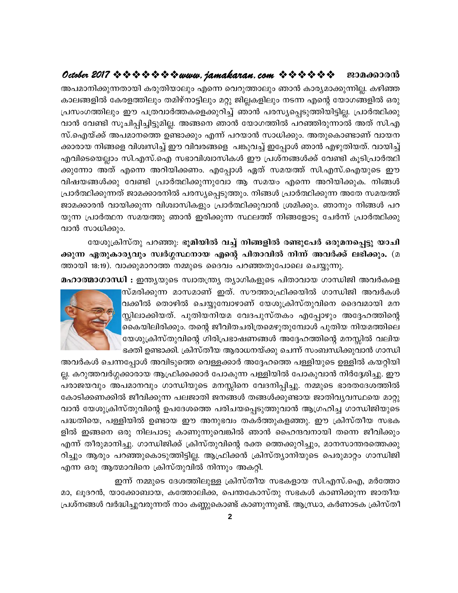അപമാനിക്കുന്നതായി കരുതിയാലും എന്നെ വെറുത്താലും ഞാൻ കാര്യമാക്കുന്നില്ല. കഴിഞ്ഞ കാലങ്ങളിൽ കേരളത്തിലും തമിഴ്നാട്ടിലും മറ്റു ജില്ലകളിലും നടന്ന എന്റെ യോഗങ്ങളിൽ ഒരു പ്രസംഗത്തിലും ഈ പത്രവാർത്തകളെക്കുറിച്ച് ഞാൻ പരസ്യപ്പെടുത്തിയിട്ടില്ല. പ്രാർത്ഥിക്കു വാൻ വേണ്ടി സൂചിപ്പിച്ചിട്ടുമില്ല. അങ്ങനെ ഞാൻ യോഗത്തിൽ പറഞ്ഞിരുന്നാൽ അത് സി.എ സ്.ഐയ്ക്ക് അപമാനത്തെ ഉണ്ടാക്കും എന്ന് പറയാൻ സാധിക്കും. അതുകൊണ്ടാണ് വായന ക്കാരായ നിങ്ങളെ വിശ്വസിച്ച് ഈ വിവരങ്ങളെ പങ്കുവച്ച് ഇപ്പോൾ ഞാൻ എഴുതിയത്. വായിച്ച് എവിടെയെല്ലാം സി.എസ്.ഐ സഭാവിശ്വാസികൾ ഈ പ്രശ്നങ്ങൾക്ക് വേണ്ടി കൂടിപ്രാർത്ഥി ക്കുന്നോ അത് എന്നെ അറിയിക്കണം. എപ്പോൾ ഏത് സമയത്ത് സി.എസ്.ഐയുടെ ഈ വിഷയങ്ങൾക്കു വേണ്ടി പ്രാർത്ഥിക്കുന്നുവോ ആ സമയം എന്നെ അറിയിക്കുക. നിങ്ങൾ പ്രാർത്ഥിക്കുന്നത് ജാമക്കാരനിൽ പരസ്യപ്പെടുത്തും. നിങ്ങൾ പ്രാർത്ഥിക്കുന്ന അതേ സമയത്ത് ജാമക്കാരൻ വായിക്കുന്ന വിശ്വാസികളും പ്രാർത്ഥിക്കുവാൻ ശ്രമിക്കും. ഞാനും നിങ്ങൾ പറ യുന്ന പ്രാർത്ഥന സമയത്തു ഞാൻ ഇരിക്കുന്ന സ്ഥലത്ത് നിങ്ങളോടു ചേർന്ന് പ്രാർത്ഥിക്കു വാൻ സാധിക്കും.

യേശുക്രിസ്തു പറഞ്ഞു: ഭൂമിയിൽ വച്ച് നിങ്ങളിൽ രണ്ടുപേർ ഒരുമനപ്പെട്ടു യാചി ക്കുന്ന ഏതുകാര്യവും സ്വർഗ്ഗസ്ഥനായ എന്റെ പിതാവിൽ നിന്ന് അവർക്ക് ലഭിക്കും. (മ ത്തായി 18:19). വാക്കുമാറാത്ത നമ്മുടെ ദൈവം പറഞ്ഞതുപോലെ ചെയ്യുന്നു.

മഹാത്മാഗാന്ധി : ഇന്ത്യയുടെ സ്വാതന്ത്ര്യ ത്യാഗികളുടെ പിതാവായ ഗാന്ധിജി അവർകളെ

സ്മരിക്കുന്ന മാസമാണ് ഇത്. സൗത്താഫ്രിക്കയിൽ ഗാന്ധിജി അവർകൾ വക്കീൽ തൊഴിൽ ചെയ്യുമ്പോഴാണ് യേശുക്രിസ്തുവിനെ ദൈവമായി മന സ്സിലാക്കിയത്. പുതിയനിയമ വേദപുസ്തകം എപ്പോഴും അദ്ദേഹത്തിന്റെ കൈയിലിരിക്കും. തന്റെ ജീവിതചരിത്രമെഴുതുമ്പോൾ പുതിയ നിയമത്തിലെ 'യേശുക്രിസ്തുവിന്റെ ഗിരിപ്രഭാഷണങ്ങൾ അദ്ദേഹത്തിന്റെ മനസ്സിൽ വലിയ ഭക്തി ഉണ്ടാക്കി. ക്രിസ്തീയ ആരാധനയ്ക്കു ചെന്ന് സംബന്ധിക്കുവാൻ ഗാന്ധി



അവർകൾ ചെന്നപ്പോൾ അവിടുത്തെ വെള്ളക്കാർ അദ്ദേഹത്തെ പള്ളിയുടെ ഉള്ളിൽ കയറ്റിയി ല്ല. കറുത്തവർഗ്ഗക്കാരായ ആഫ്രിക്കക്കാർ പോകുന്ന പള്ളിയിൽ പോകുവാൻ നിർദ്ദേശിച്ചു. ഈ പരാജയവും അപമാനവും ഗാന്ധിയുടെ മനസ്സിനെ വേദനിപ്പിച്ചു. നമ്മുടെ ഭാരതദേശത്തിൽ കോടിക്കണക്കിൽ ജീവിക്കുന്ന പലജാതി ജനങ്ങൾ തങ്ങൾക്കുണ്ടായ ജാതിവൃവസ്ഥയെ മാറ്റു വാൻ യേശുക്രിസ്തുവിന്റെ ഉപദേശത്തെ പരിചയപ്പെടുത്തുവാൻ ആഗ്രഹിച്ച ഗാന്ധിജിയുടെ പദ്ധതിയെ, പള്ളിയിൽ ഉണ്ടായ ഈ അനുഭവം തകർത്തുകളഞ്ഞു. ഈ ക്രിസ്തീയ സഭക ളിൽ ഇങ്ങനെ ഒരു നിലപാടു കാണുന്നുവെങ്കിൽ ഞാൻ ഹൈന്ദവനായി തന്നെ ജീവിക്കും എന്ന് തീരുമാനിച്ചു. ഗാന്ധിജിക്ക് ക്രിസ്തുവിന്റെ രക്ത ത്തെക്കുറിച്ചും, മാനസാന്തരത്തെക്കു റിച്ചും ആരും പറഞ്ഞുകൊടുത്തിട്ടില്ല. ആഫ്രിക്കൻ ക്രിസ്ത്യാനിയുടെ പെരുമാറ്റം ഗാന്ധിജി എന്ന ഒരു ആത്മാവിനെ ക്രിസ്തുവിൽ നിന്നും അകറ്റി.

ഇന്ന് നമ്മുടെ ദേശത്തിലുള്ള ക്രിസ്തീയ സഭകളായ സി.എസ്.ഐ, മർത്തോ മാ, ലൂദറൻ, യാക്കോബായ, കത്തോലിക്ക, പെന്തകോസ്തു സഭകൾ കാണിക്കുന്ന ജാതീയ പ്രശ്നങ്ങൾ വർദ്ധിച്ചുവരുന്നത് നാം കണ്ണുകൊണ്ട് കാണുന്നുണ്ട്. ആന്ധ്രാ, കർണാടക ക്രിസ്തീ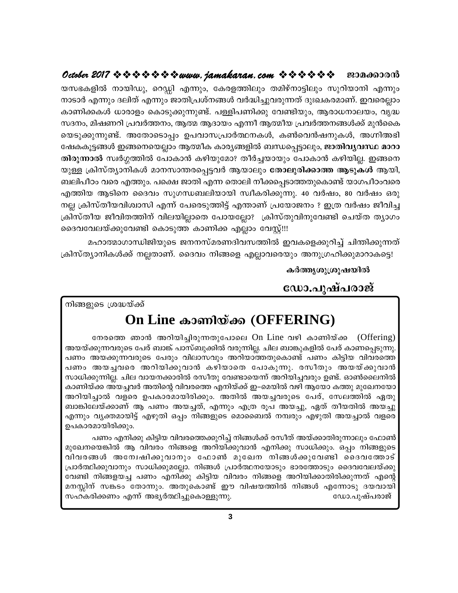യസഭകളിൽ നായിഡു, റെഡ്ഡി എന്നും, കേരളത്തിലും തമിഴ്നാട്ടിലും സുറിയാനി എന്നും നാടാർ എന്നും ദലിത് എന്നും ജാതിപ്രശ്നങ്ങൾ വർദ്ധിച്ചുവരുന്നത് ദുഃഖകരമാണ്. ഇവരെല്ലാം കാണിക്കകൾ ധാരാളം കൊടുക്കുന്നുണ്ട്. പള്ളിപണിക്കു വേണ്ടിയും, ആരാധനാലയം, വൃദ്ധ സദനം, മിഷണറി പ്രവർത്തനം, ആത്മ ആദായം എന്നീ ആത്മീയ പ്രവർത്തനങ്ങൾക്ക് മുൻകൈ യെടുക്കുന്നുണ്ട്. അതോടൊപ്പം ഉപവാസപ്രാർത്ഥനകൾ, കൺവെൻഷനുകൾ, അഗ്നിഅഭി ഷേകകൂട്ടങ്ങൾ ഇങ്ങനെയെല്ലാം ആത്മീക കാര്യങ്ങളിൽ ബന്ധപ്പെട്ടാലും, **ജാതിവ്യവസ്ഥ മാറാ** തിരുന്നാൽ സ്വർഗ്ഗത്തിൽ പോകാൻ കഴിയുമോ? തീർച്ചയായും പോകാൻ കഴിയില്ല. ഇങ്ങനെ യുള്ള ക്രിസ്ത്യാനികൾ മാനസാന്തരപ്പെട്ടവർ ആയാലും **തോലുരിക്കാത്ത ആടുകൾ** ആയി, ബലിപീഠം വരെ എത്തും. പക്ഷെ ജാതി എന്ന തൊലി നീക്കപ്പെടാത്തതുകൊണ്ട് യാഗപീഠംവരെ എത്തിയ ആടിനെ ദൈവം സുഗന്ധബലിയായി സ്വീകരിക്കുന്നു. 40 വർഷം, 80 വർഷം ഒരു നല്ല ക്രിസ്തീയവിശ്വാസി എന്ന് പേരെടുത്തിട്ട് എന്താണ് പ്രയോജനം ? ഇത്ര വർഷം ജീവിച്ച ക്രിസ്തീയ ജീവിതത്തിന് വിലയില്ലാതെ പോയല്ലോ? ക്രിസ്തുവിനുവേണ്ടി ചെയ്ത ത്യാഗം ദൈവവേലയ്ക്കുവേണ്ടി കൊടുത്ത കാണിക്ക എല്ലാം വേസ്റ്റ്!!!

മഹാത്മാഗാന്ധിജിയുടെ ജനനസ്മരണദിവസത്തിൽ ഇവകളെക്കുറിച്ച് ചിന്തിക്കുന്നത് ക്രിസ്ത്യാനികൾക്ക് നല്ലതാണ്. ദൈവം നിങ്ങളെ എല്ലാവരെയും അനുഗ്രഹിക്കുമാറാകട്ടെ!

കർത്തൃശുശ്രുഷയിൽ

ഡോ.പുഷ്പരാജ്

നിങ്ങളുടെ ശ്രദ്ധയ്ക്ക്

# On Line കാണിയ്ക്ക (OFFERING)

നേരത്തെ ഞാൻ അറിയിച്ചിരുന്നതുപോലെ On Line വഴി കാണിയ്ക്ക (Offering) അയയ്ക്കുന്നവരുടെ പേര് ബാങ്ക് പാസ്ബുക്കിൽ വരുന്നില്ല. ചില ബാങ്കുകളിൽ പേര് കാണപ്പെടുന്നു. പണം അയക്കുന്നവരുടെ പേരും വിലാസവും അറിയാത്തതുകൊണ്ട് പണം കിട്ടിയ വിവരത്തെ പണം അയച്ചവരെ അറിയിക്കുവാൻ കഴിയാതെ പോകുന്നു. രസീതും അയയ്ക്കുവാൻ സാധിക്കുന്നില്ല. ചില വായനക്കാരിൽ രസീതു വേണ്ടായെന്ന് അറിയിച്ചവരും ഉണ്ട്. ഓൺലൈനിൽ കാണിയ്ക്ക അയച്ചവർ അതിന്റെ വിവരത്തെ എനിയ്ക്ക് ഇ–മെയിൽ വഴി ആയോ കത്തു മുഖേനയോ അറിയിച്ചാൽ വളരെ ഉപകാരമായിരിക്കും. അതിൽ അയച്ചവരുടെ പേര്, സേലത്തിൽ ഏതു ബാങ്കിലേയ്ക്കാണ് ആ പണം അയച്ചത്, എന്നും എത്ര രൂപ അയച്ചു, ഏത് തീയതിൽ അയച്ചു എന്നും വൃക്തമായിട്ട് എഴുതി ഒപ്പം നിങ്ങളുടെ മൊബൈൽ നമ്പരും എഴുതി അയച്ചാൽ വളരെ ഉപകാരമായിരിക്കും.

പണം എനിക്കു കിട്ടിയ വിവരത്തെക്കുറിച്ച് നിങ്ങൾക്ക് രസീത് അയ്ക്കാതിരുന്നാലും ഫോൺ മുഖേനയെങ്കിൽ ആ വിവരം നിങ്ങളെ അറിയിക്കുവാൻ എനിക്കു സാധിക്കും. ഒപ്പം നിങ്ങളുടെ വിവരങ്ങൾ അന്വേഷിക്കുവാനും ഫോൺ മുഖേന നിങ്ങൾക്കുവേണ്ടി ദൈവത്തോട് പ്രാർത്ഥിക്കുവാനും സാധിക്കുമല്ലോ. നിങ്ങൾ പ്രാർത്ഥനയോടും ഭാരത്തോടും ദൈവവേലയ്ക്കു വേണ്ടി നിങ്ങളയച്ച പണം എനിക്കു കിട്ടിയ വിവരം നിങ്ങളെ അറിയിക്കാതിരിക്കുന്നത് എന്റെ മനസ്സിന് സങ്കടം തോന്നും. അതുകൊണ്ട് ഈ വിഷയത്തിൽ നിങ്ങൾ എന്നോടു ദയവായി സഹകരിക്കണം എന്ന് അഭ്യർത്ഥിച്ചുകൊള്ളുന്നു. ഡോ.പുഷ്പരാജ്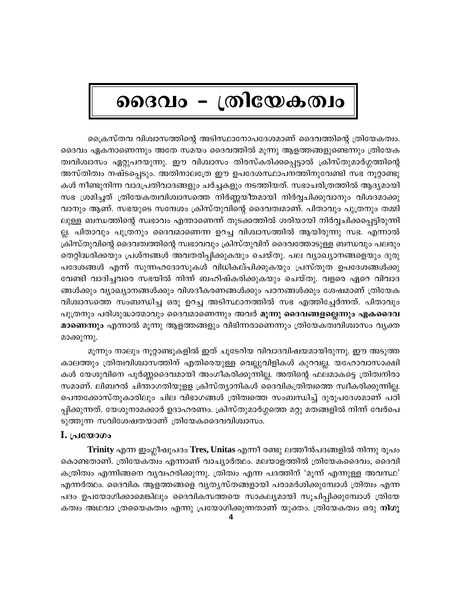# ദൈവം - ത്രിയേകത്വം

പ്രൈസ്തവ വിശ്വാസത്തിന്റെ അടിസ്ഥാനോപദേശമാണ് ദൈവത്തിന്റെ ത്രിയേകത്വം. ദൈവം ഏകനാണെന്നും അതേ സമയം ദൈവത്തിൽ മൂന്നു ആളത്തങ്ങളുണ്ടെന്നും ത്രിയേക ത്വവിശ്വാസം ഏറ്റുപറയുന്നു. ഈ വിശ്വാസം തിരസ്കരിക്കപ്പെട്ടാൽ ക്രിസ്തുമാർഗ്ഗത്തിന്റെ അസ്തിത്വം നഷ്ടപ്പെടും. അതിനാലത്രേ ഈ ഉപദേശസ്ഥാപനത്തിനുവേണ്ടി സഭ നൂറ്റാണ്ടു കൾ നീണ്ടുനിന്ന വാദപ്രതിവാദങ്ങളും ചർച്ചകളും നടത്തിയത്. സഭാചരിത്രത്തിൽ ആദ്യമായി സഭ ശ്രമിച്ചത് ത്രിയേകത്വവിശ്വാസത്തെ നിർണ്ണയീതമായി നിർവ്വചിക്കുവാനും വിശദമാക്കു വാനും ആണ്. സഭയുടെ സന്ദേശം ക്രിസ്തുവിന്റെ ദൈവത്വമാണ്. പിതാവും പുത്രനും തമ്മി ലുള്ള ബന്ധത്തിന്റെ സ്വഭാവം എന്താണെന്ന് തുടക്കത്തിൽ ശരിയായി നിർവ്വചിക്കപ്പെട്ടിരുന്നി ല്ല. പിതാവും പുത്രനും ദൈവമാണെന്ന ഉറച്ച വിശ്വാസത്തിൽ ആയിരുന്നു സഭ. എന്നാൽ ക്രിസ്തുവിന്റെ ദൈവത്വത്തിന്റെ സ്വഭാവവും ക്രിസ്തുവിന് ദൈവത്തോടുള്ള ബന്ധവും പലരും തെറ്റിദ്ധരിക്കയും പ്രശ്നങ്ങൾ അവതരിപ്പിക്കുകയും ചെയ്തു. പല വ്യാഖ്യാനങ്ങളെയും ദുരു പദേശങ്ങൾ എന്ന് സുന്നഹദോസുകൾ വിധികല്പിക്കുകയും പ്രസ്തുത ഉപദേശങ്ങൾക്കു വേണ്ടി വാദിച്ചവരെ സഭയിൽ നിന്ന് ബഹിഷ്കരിക്കുകയും ചെയ്തു. വളരെ ഏറെ വിവാദ ങ്ങൾക്കും വ്യാഖ്യാനങ്ങൾക്കും വിശദീകരണങ്ങൾക്കും പഠനങ്ങൾക്കും ശേഷമാണ് ത്രിയേക വിശ്വാസത്തെ സംബന്ധിച്ച ഒരു ഉറച്ച അടിസ്ഥാനത്തിൽ സഭ എത്തിച്ചേർന്നത്. പിതാവും പുത്രനും പരിശുദ്ധാത്മാവും ദൈവമാണെന്നും അവർ മൂന്നു ദൈവങ്ങളല്ലെന്നും ഏകദൈവ മാണെന്നും എന്നാൽ മൂന്നു ആളത്തങ്ങളും വിഭിന്നരാണെന്നും ത്രിയേകത്വവിശ്വാസം വ്യക്ത മാക്കുന്നു.

മൂന്നും നാലും നൂറ്റാണ്ടുകളിൽ ഇത് ചൂടേറിയ വിവാദവിഷയമായിരുന്നു. ഈ അടുത്ത കാലത്തും ത്രിത്വവിശ്വാസത്തിന് എതിരെയുള്ള വെല്ലുവിളികൾ കുറവല്ല. യഹോവാസാക്ഷി കൾ യേശുവിനെ പൂർണ്ണദൈവമായി അംഗീകരിക്കുന്നില്ല. അതിന്റെ ഫലമാകട്ടെ ത്രിത്വനിരാ സമാണ്. ലിബറൽ ചിന്താഗതിയുളള ക്രിസ്ത്യാനികൾ ദൈവികത്രിത്വത്തെ സ്വീകരിക്കുന്നില്ല. പെന്തക്കോസ്തുകാരിലും ചില വിഭാഗങ്ങൾ ത്രിത്വത്തെ സംബന്ധിച്ച് ദുരുപദേശമാണ് പഠി പ്പിക്കുന്നത്. യേശുനാമക്കാർ ഉദാഹരണം. ക്രിസ്തുമാർഗ്ഗത്തെ മറ്റു മതങ്ങളിൽ നിന്ന് വേർപെ ടുത്തുന്ന സവിശേഷതയാണ് ത്രിയേകദൈവവിശ്വാസം.

## $\mathbf{I}$ . പ്രയോഗം

**Trinity** എന്ന ഇംഗ്ലീഷുപദം **Tres, Unitas** എന്നീ രണ്ടു ലത്തീൻപദങ്ങളിൽ നിന്നു രൂപം കൊണ്ടതാണ്. ത്രിയേകത്വം എന്നാണ് വാച്യാർത്ഥം. മലയാളത്തിൽ ത്രിയേകദൈവം, ദൈവി കത്രിത്വം എന്നിങ്ങനെ വൃവഹരിക്കുന്നു. ത്രിത്വം എന്ന പദത്തിന് 'മൂന്ന് എന്നുള്ള അവസ്ഥ' എന്നർത്ഥം. ദൈവിക ആളത്തങ്ങളെ വൃത്യസ്തങ്ങളായി പരാമർശിക്കുമ്പോൾ ത്രിത്വം എന്ന പദം ഉപയോഗിക്കാമെങ്കിലും ദൈവികസത്തയെ സാകല്യമായി സൂചിപ്പിക്കുമ്പോൾ ത്രിയേ കത്വം അഥവാ ത്രയൈകത്വം എന്നു പ്രയോഗിക്കുന്നതാണ് യുക്തം. ത്രിയേകത്വം ഒരു **നിഗു**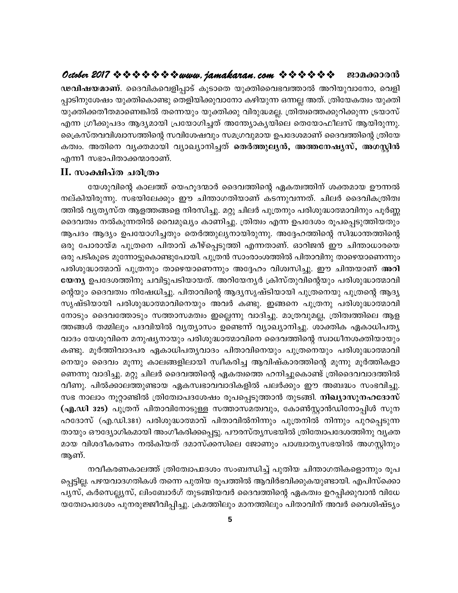ഢവിഷയമാണ്. ദൈവികവെളിപ്പാട് കൂടാതെ യുക്തിവൈഭവത്താൽ അറിയുവാനോ, വെളി പ്പാടിനുശേഷം യുക്തികൊണ്ടു തെളിയിക്കുവാനോ കഴിയുന്ന ഒന്നല്ല അത്. ത്രിയേകത്വം യുക്തി യുക്തിക്കതീതമാണെങ്കിൽ തന്നെയും യുക്തിക്കു വിരുദ്ധമല്ല. ത്രിത്വത്തെക്കുറിക്കുന്ന ട്രയാസ് എന്ന ഗ്രീക്കുപദം ആദ്യമായി പ്രയോഗിച്ചത് അന്ത്യോകൃയിലെ തെയോഫീലസ് ആയിരുന്നു. ക്രൈസ്തവവിശ്വാസത്തിന്റെ സവിശേഷവും സമഗ്രവുമായ ഉപദേശമാണ് ദൈവത്തിന്റെ ത്രിയേ കത്വം. അതിനെ വൃക്തമായി വ്യാഖ്യാനിച്ചത് തെർത്തുല്യൻ, അത്തനേഷ്യസ്, അഗസ്റ്റിൻ എന്നീ സഭാപിതാക്കന്മാരാണ്.

## II. സംക്ഷിപ്ത ചരിത്രം

യേശുവിന്റെ കാലത്ത് യെഹൂദന്മാർ ദൈവത്തിന്റെ ഏകത്വത്തിന് ശക്തമായ ഊന്നൽ നല്കിയിരുന്നു. സഭയിലേക്കും ഈ ചിന്താഗതിയാണ് കടന്നുവന്നത്. ചിലർ ദൈവികത്രിത്വ ത്തിൽ വ്യത്യസ്ത ആളത്തങ്ങളെ നിരസിച്ചു. മറ്റു ചിലർ പുത്രനും പരിശുദ്ധാത്മാവിനും പൂർണ്ണ ദൈവത്വം നൽകുന്നതിൽ വൈമുഖ്യം കാണിച്ചു. ത്രിത്വം എന്ന ഉപദേശം രൂപപ്പെടുത്തിയതും ആപദം ആദ്യം ഉപയോഗിച്ചതും തെർത്തുല്യനായിരുന്നു. അദ്ദേഹത്തിന്റെ സിദ്ധാന്തത്തിന്റെ ഒരു പോരായ്മ പുത്രനെ പിതാവ് കീഴ്പ്പെടുത്തി എന്നതാണ്. ഓറിജൻ ഈ ചിന്താധാരയെ ഒരു പടികൂടെ മുന്നോട്ടുകൊണ്ടുപോയി. പുത്രൻ സാംരാംശത്തിൽ പിതാവിനു താഴെയാണെന്നും പരിശുദ്ധാത്മാവ് പുത്രനും താഴെയാണെന്നും അദ്ദേഹം വിശ്വസിച്ചു. ഈ ചിന്തയാണ് **അറി** യേന്യ ഉപദേശത്തിനു ചവിട്ടുപടിയായത്. അറിയേന്യർ ക്രിസ്തുവിന്റെയും പരിശുദ്ധാത്മാവി ന്റെയും ദൈവത്വം നിഷേധിച്ചു. പിതാവിന്റെ ആദ്യസൃഷ്ടിയായി പുത്രനെയു പുത്രന്റെ ആദ്യ സൃഷ്ടിയായി പരിശുദ്ധാത്മാവിനെയും അവർ കണ്ടു. ഇങ്ങനെ പുത്രനു പരിശുദ്ധാത്മാവി നോടും ദൈവത്തോടും സത്താസമത്വം ഇല്ലെന്നു വാദിച്ചു. മാത്രവുമല്ല, ത്രിത്വത്തിലെ ആള ത്തങ്ങൾ തമ്മിലും പദവിയിൽ വ്യത്യാസം ഉണ്ടെന്ന് വ്യാഖ്യാനിച്ചു. ശാക്തിക ഏകാധിപത്യ വാദം യേശുവിനെ മനുഷ്യനായും പരിശുദ്ധാത്മാവിനെ ദൈവത്തിന്റെ സ്വാധീനശക്തിയായും കണ്ടു. മൂർത്തിവാദപര ഏകാധിപത്യവാദം പിതാവിനെയും പുത്രനെയും പരിശുദ്ധാത്മാവി നെയും ദൈവം മൂന്നു കാലങ്ങളിലായി സ്വീകരിച്ച ആവിഷ്കാരത്തിന്റെ മൂന്നു മൂർത്തികളാ ണെന്നു വാദിച്ചു. മറ്റു ചിലർ ദൈവത്തിന്റെ ഏകത്വത്തെ ഹനിച്ചുകൊണ്ട് ത്രിദൈവവാദത്തിൽ വീണു. പിൽക്കാലത്തുണ്ടായ ഏകസ്വഭാവവാദികളിൽ പലർക്കും ഈ അബദ്ധം സംഭവിച്ചു. സഭ നാലാം നൂറ്റാണ്ടിൽ ത്രിത്വോപദശേഷം രൂപപ്പെടുത്താൻ തുടങ്ങി. **നിഖ്യാസുനഹദോസ്** (എ.ഡി 325) പുത്രന് പിതാവിനോടുള്ള സത്താസമത്വവും, കോൺസ്റ്റാൻഡിനോപ്പിൾ സുന ഹദോസ് (എ.ഡി.381) പരിശുദ്ധാത്മാവ് പിതാവിൽനിന്നും പുത്രനിൽ നിന്നും പുറപ്പെടുന്ന തായും ഔദ്യോഗികമായി അംഗീകരിക്കപ്പെട്ടു. പൗരസ്തൃസഭയിൽ ത്രിത്വോപദേശത്തിനു വൃക്ത മായ വിശദീകരണം നൽകിയത് ദമാസ്ക്കസിലെ ജോണും പാശ്ചാതൃസഭയിൽ അഗസ്റ്റിനും ആണ്.

നവീകരണകാലത്ത് ത്രിത്വോപദേശം സംബന്ധിച്ച് പുതിയ ചിന്താഗതികളൊന്നും രൂപ പ്പെട്ടില്ല. പഴയവാദഗതികൾ തന്നെ പുതിയ രൂപത്തിൽ ആവിർഭവിക്കുകയുണ്ടായി. എപിസ്ക്കൊ പൃസ്, കർസെല്ല്യസ്, ലിംബോർഗ് തുടങ്ങിയവർ ദൈവത്തിന്റെ ഏകത്വം ഉറപ്പിക്കുവാൻ വിധേ യത്വോപദേശം പുനരുജ്ജീവിപ്പിച്ചു. ക്രമത്തിലും മാനത്തിലും പിതാവിന് അവർ വൈശിഷ്ട്യം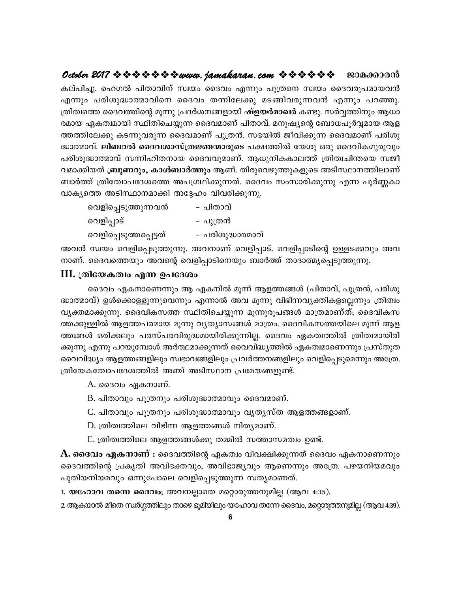# **October 2017 www.jamakaran.com Pma¡mc³**

Iev]n -¨p. slKÂ ]nXm-hn\v kzbw ssZhw F¶pw ]p{Xs\ kzbw ssZh-cq-] -am-b -h³ F¶pw ]cn -ip -²m -ßm -hns\ ssZhw X¶n -te¡p aS -§n -h -cp -¶ -h³ F¶pw ]d -ªp. ്രതിത്വത്തെ ദൈവത്തിന്റെ മൂന്നു പ്രദർശനങ്ങളായി **ഷ്ളയർമാഖർ** കണ്ടു. സർവ്വത്തിനും ആധാ c -amb GI-Xz-ambn ØnXn -sN-¿p¶ ssZh-amWv ]nXm-hv. a\p -jysâ t\_m[-]qÀÆ-amb Bf - കല്പിച്ചു. ഹെഗൽ പിതാവിന് സ്വയം ദൈവം എന്നും പുത്രനെ സ്വയം ദൈവരൂപമായവൻ<br>എന്നും പരിശുദ്ധാത്മാവിനെ ദൈവം തന്നിലേക്കു മടങ്ങിവരുന്നവൻ എന്നും പറഞ്ഞു.<br>ത്രിത്വത്തെ ദൈവത്തിന്റെ മൂന്നു പ്രദർശനങ്ങളായി **ഷ്ളയർമാഖർ** കണ്ടു. സർവ്വത്തിനും ആധ എന്നും പരിശുദ്ധാത്മാവിനെ ദൈവം തന്നിലേക്കു മടങ്ങിവരുന്നവൻ എന്നും പറഞ്ഞു.<br>ത്രിത്വത്തെ ദൈവത്തിന്റെ മൂന്നു പ്രദർശനങ്ങളായി **ഷ്ളയർമാഖർ** കണ്ടു. സർവ്വത്തിനും ആധാ<br>രമായ ഏകത്വമായി സ്ഥിതിചെയ്യുന്ന ദൈവമാണ് പിതാവ്. മനുഷ്യന്റെ ബോധപൂർവ്വ ത്രിത്വത്തെ ദൈവത്തിന്റെ മൂന്നു പ്രദർശനങ്ങളായി **ഷ്ളയർമാഖർ** കണ്ടു. സർവ്വത്തിനും ആധാ<br>രമായ ഏകത്വമായി സ്ഥിതിചെയ്യുന്ന ദൈവമാണ് പിതാവ്. മനുഷ്യന്റെ ബോധപൂർവ്വമായ ആള<br>ത്തത്തിലേക്കു കടന്നുവരുന്ന ദൈവമാണ് പുത്രൻ. സഭയിൽ ജീവിക്കുന്ന ദൈവമ രമായ ഏകത്വമായി സ്ഥിതിചെയ്യുന്ന ദൈവമാണ് പിതാവ്. മനുഷ്യന്റെ ബോധപൂർവ്വമായ ആള<br>അത്തിലേക്കു കടന്നുവരുന്ന ദൈവമാണ് പുത്രൻ. സഭയിൽ ജീവിക്കുന്ന ദൈവമാണ് പരിശു<br>ദ്ധാത്മാവ്. **ലിബറൽ ദൈവശാസ്ത്രജ്ഞന്മാരുടെ** പക്ഷത്തിൽ യേശു ഒരു ദൈവികഗുരുവും<br> ത്തത്തിലേക്കു കടന്നുവരുന്ന ദൈവമാണ് പുത്രൻ. സഭയിൽ ജീവിക്കുന്ന ദൈവമാണ് പരിശു<br>ദ്ധാത്മാവ്. **ലിബറൽ ദൈവശാസ്ത്രജ്ഞന്മാരുടെ** പക്ഷത്തിൽ യേശു ഒരു ദൈവികഗുരുവും<br>പരിശുദ്ധാത്മാവ് സന്നിഹിതനായ ദൈവവുമാണ്. ആധുനികകാലത്ത് ത്രിത്വചിന്തയെ സജീ<br> ദ്ധാത്മാവ്. **ലിബറൽ ദൈവശാസ്ത്രജ്ഞന്മാരുടെ** പക്ഷത്തിൽ യേശു ഒരു<br>പരിശുദ്ധാത്മാവ് സന്നിഹിതനായ ദൈവവുമാണ്. ആധുനികകാലത്ത് ര്ര<br>വമാക്കിയത് **ബ്രൂണറും, കാൾബാർത്തും** ആണ്. തിരുവെഴുത്തുകളുടെ അ<br>ബാർത്ത് ത്രിയോപദേശത്തെ അപഗ്രഥിക്കുന്നത്. ദൈ ദ്ധാത്മാവ സന്നിഹിതനായ ദൈവവുമാദ<br>|യത് **ബ്രൂണറും, കാൾബാർത്തും** ആണ്<br>ത് ത്രിത്വോപദേശത്തെ അപഗ്രഥിക്കുന്നത്ത അടിസ്ഥാനമാക്കി അദ്ദേഹം വിവരി<br>|വെളിപ്പെടുത്തുന്നവൻ പുത്രൻ<br>|വെളിപ്പാട്

| ມ⊘ດນ [orπ\ornyyto* ໝາດດອກກາດ(oronyto_@n)orny_co\ing\ox/πa\(ono)\ໝอ\\ |                   |
|----------------------------------------------------------------------|-------------------|
| ത് ത്രിത്വോപദേശത്തെ അപഗ്രഥിക്കുന്നത്. ദൈവം സംസാരി                    |                   |
| ത്തെ അടിസ്ഥാനമാക്കി അദ്ദേഹം വിവരിക്കുന്നു.                           |                   |
| വെളിപ്പെടുത്തുന്നവൻ                                                  | – പിതാവ്          |
| വെളിപ്പാട്                                                           | – പുത്രൻ          |
| വെളിപ്പെടുത്തപ്പെട്ടത്                                               | – പരിശുദ്ധാത്മാവ് |
| സ്വയം വെളിപ്പെടുത്തുന്നു. അവനാണ് വെളിപ്പാട്. വെളിപ്പാ                |                   |
| ദൈവത്തെയും അവന്റെ വെളിപ്പാടിനെയും ബാർത്ത് താദാര                      |                   |

Ah³ kzbw shfn -s¸ -Sp -¯p -¶p. Ah-\mWv shfn -¸m-Sv. shfn -¸m-Snsâ DÅ -S -¡hpw Ah- \m-Wv. ssZh-s¯bpw Ahsâ shfn -¸m-Sn -s\bpw \_mÀ¯v XmZm-ßy -s¸ -Sp -¯p -¶p.

## $III.$  ത്രിയേകത്വം എന്ന ഉപദേശം

് പ്രച്ച്<br>സ്വയം വെളിപ്പെടുത്തുന്നു. അവനാണ് വെളിപ്പാട്. വെളിപ്പാടിന്റെ ഉള്ളടക്കവും അവ<br>ദൈവം എന്ന ഉപദേശം<br>ദൈവം ഏകനാണെന്നും ആ ഏകനിൽ മൂന്ന് ആളത്തങ്ങൾ (പിതാവ്, പുത്രൻ, പരിശു<br>വ്) ഉൾക്കൊള്ളുന്നുവെന്നും എന്നാൽ അവ മൂന്നു വിഭിന്നവ്യക ംക്ക് പായം കെള്ക്പ്പെടുത്തുന്നു. ക്ഷോണ കെല്പ്പാട് കെല്പ്പാക്ക്യ ഉള്ളാക്ക്മും ക്ഷ<br>നാണ്. ദൈവത്തെയും അവന്റെ വെളിപ്പാടിനെയും ബാർത്ത് താദാത്മ്യപ്പെടുത്തുന്നു.<br>ചെരിയേകത്വം എന്ന ഉപദേശം<br>ദ്ധാത്മാവ്) ഉൾക്കൊള്ളുന്നുവെന്നും എന്നാൽ അവ hyà -am-¡p -¶p. ssZhn -I-k¯ ØnXn -sN-¿p¶ aq¶p -cq-] -§Ä am{X -amWvXv; ssZhn -I-k - III. (തിയേകത്വം എന്ന ഉപദേശം<br>- ദൈവം ഏകനാണെന്നും ആ ഏകനിൽ മൂന്ന് ആളത്തങ്ങൾ (പിതാവ്, പുത്രൻ, പരിശു<br>ദ്ധാത്മാവ്) ഉൾക്കൊള്ളുന്നുവെന്നും എന്നാൽ അവ മൂന്നു വിഭിന്നവൃക്തികളല്ലെന്നും ത്രിത്വം<br>വൃക്തമാക്കുന്നു. ദൈവികസത്ത സ്ഥിതിചെയ്യുന് ്രൈവം ഏകനാണെന്നും ആ ഏകനിൽ മൂന്ന് ആളത്തങ്ങൾ (പിതാവ്, പുത്രൻ, പരിശു<br>ദ്ധാത്മാവ്) ഉൾക്കൊള്ളുന്നുവെന്നും എന്നാൽ അവ മൂന്നു വിഭിന്നവ്യക്തികളല്ലെന്നും ത്രിത്വം<br>വ്യക്തമാക്കുന്നു. ദൈവികസത്ത സ്ഥിതിചെയ്യുന്ന മൂന്നുരൂപങ്ങൾ മാത്രമാണ്ത് ക്കുന്നു എന്നു പറയുമ്പോൾ അർത്ഥമാക്കുന്നത് വൈവിദ്ധ്യത്തിൽ ഏകത്വമാണെന്നും പ്രസ്തുത വൈവിദ്ധ്യം ആളത്തങ്ങളിലും സ്വഭാവങ്ങളിലും പ്രവർത്തനങ്ങളിലും വെളിപ്പെടുമെന്നും അത്രേ. ത്തക്കുള്ളിൽ ആളത്തപരമായ മൂന്നു വ്യത്യാസങ്ങൾ മാത്രം. ദൈവികസത്തയിലെ മൂന്ന് ആള<br>ത്തങ്ങൾ ഒരിക്കലും പരസ്പരവിരുദ്ധമായിരിക്കുന്നില്ല. ദൈവം ഏകത്വത്തിൽ ത്രിത്വമായിരി<br>ക്കുന്നു എന്നു പറയുമ്പോൾ അർത്ഥമാക്കുന്നത് വൈവിദ്ധ്യത്തിൽ ഏകത എന്നു പറയുമ്പോശ അരത്ഥമാക്കുന്നത് വൈവിജുത്തിരെ എ<br>ദ്ധ്യം ആളത്തങ്ങളിലും സ്വഭാവങ്ങളിലും പ്രവർത്തനങ്ങളിലും<br>കത്വോപദേശത്തിൽ അഞ്ച് അടിസ്ഥാന പ്രമേയങ്ങളുണ്ട്.<br>A. ദൈവം ഏകനാണ്.<br>B. പിതാവും പുത്രനും പരിശുദ്ധാത്മാവും ഖ്യതൃസ്ത ആള<br>D. ത്രി പ്രൂം ആളാത്തപ്പെട്ടും രാടാപ്പെട്ടുകൂട്ട പ്രവര്ത്തനങ്ങളിലൂം കെള്ച്ചെടുക്കാനും കോക്ക<br>കത്വോപദേശത്തിൽ അഞ്ച് അടിസ്ഥാന പ്രമേയങ്ങളുണ്ട്.<br>A. ദൈവം ഏകനാണ്.<br>C. പിതാവും പുത്രനും പരിശുദ്ധാത്മാവും ദൈവമാണ്.<br>D. ത്രിത്വത്തിലെ വിഭിന്ന ആളത്

 $A.$  ദൈവം ഏകനാണ്.

- 
- A. ദൈവം ഏകനാണ്.<br>B. പിതാവും പുത്രനും പരിശുദ്ധാത്മാവും ദൈവമാണ്.<br>C. പിതാവും പുത്രനും പരിശുദ്ധാത്മാവും വൃത്യസ്ത ആളത്തങ്ങള<br>D. ത്രിത്വത്തിലെ ആളത്തങ്ങൾക്കു തമ്മിൽ സത്താസമത്വം ഉണ്ട്.<br>ROLO ഏകനാണ് : ദൈവത്തിനെ ഏകത്വം വിവക്ഷിക്കുന്നത
- 
- 

B. പിതാവും പുത്രനും പരിശുദ്ധാത്മാവും ദൈവമാണ്.<br>C. പിതാവും പുത്രനും പരിശുദ്ധാത്മാവും വൃതൃസ്ത ആളത്തങ്ങളാണ്.<br>D. ത്രിത്വത്തിലെ വിഭിന്ന ആളത്തങ്ങൾ നിതൃമാണ്.<br>B. ത്രിത്വത്തിലെ ആളത്തങ്ങൾക്കു തമ്മിൽ സത്താസമത്വം ഉണ്ട്.<br>3വം **ഏകനാണ് :** C. പിതാവും പുത്രനും പരിശുദ്ധാത്മാവും വ്യത്യസ്ത ആളത്തങ്ങളാണ്.<br>D. ത്രിത്വത്തിലെ വിഭിന്ന ആളത്തങ്ങൾ നിത്യമാണ്.<br><del>A. ദൈവം ഏകനാണ് :</del> ദൈവത്തിന്റെ ഏകത്വം വിവക്ഷിക്കുന്നത് ദൈവം ഏകനാണെന്നും<br>ദൈവത്തിന്റെ പ്രകൃതി അവിഭക്തവും, അവിഭാജ്യവു  $\,$  D. ത്രിത്വത്തിലെ വിഭിന്ന ആളത്തങ്ങൾ നിത്യമാണ്.<br> $\,$  E. ത്രിത്വത്തിലെ ആളത്തങ്ങൾക്കു തമ്മിൽ സത്താസമത്വം ഉണ്ട്.<br>**A. ദൈവം ഏകനാണ് :** ദൈവത്തിന്റെ ഏകത്വം വിവക്ഷിക്കുന്നത് ദൈവം ഏകനാണെന്നും<br>ദൈവത്തിന്റെ പ്രകൃതി അവിഭക്തവും, അവി  $P$ . ശ്രീതിത്തിലെ ആളത്തങ്ങൾക്കു തമ്മിൽ സത്താസമത്വം ഉണ്ട്.<br>**A. ദൈവം ഏകനാണ് :** ദൈവത്തിന്റെ ഏകത്വം വിവക്ഷിക്കുന്നത് ദൈവം ഏ<br>ദൈവത്തിന്റെ പ്രകൃതി അവിഭക്തവും, അവിഭാജ്യവും ആണെന്നും അത്രേ. പ<br>പുതിയനിയമവും ഒന്നുപോലെ വെളിപ്പെടുത്തുന 1. ഗ്രഹംഗ്രഹ് ആള്ത്തായെ<sub>ഗ്</sub> രാമ്മരം സ്താസമേശാ ഉണ്ട.<br>**A. ദൈവം ഏകനാണ് :** ദൈവത്തിന്റെ ഏകത്വം വിവക്ഷിക്കുന്നത് ദൈവം ഏ<br>ദൈവത്തിന്റെ പ്രകൃതി അവിഭക്തവും, അവിഭാജ്യവും ആണെന്നും അത്രേ. പ<br>പുതിയനിയമവും ഒന്നുപോലെ വെളിപ്പെടുത്തുന്ന സത്യ

2. ആകയാൽ മീതെ സ്ഥർഗ്ഗത്തിലും താഴെ ഭൂമിയിലും യഹോവ തന്നേ ദൈവം, മറ്റൊരുത്തന്നുമില്ല (ആവ 4:39).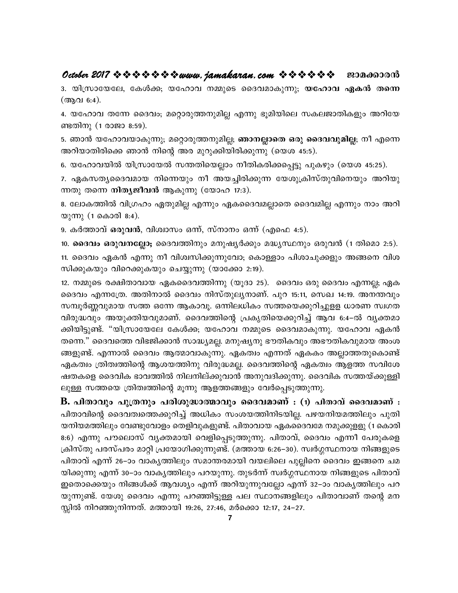# **October 2017 www.jamakaran.com Pma¡mc³**

3. bn{km -tb -te, tIÄ¡; btlmh \½psS ssZh -am -Ip -¶p; **btlmh GI³ Xs¶** (ആവ 6:4).

4. btlmh Xt¶ ssZhw; asäm-cp -¯ -\p -anà F¶p `qan -bnse kI-e-Pm-Xn -Ifpw Adn -tb - ണ്ടതിനു (1 രാജാ 8:59). 5. യിസ്രായേലേ, കോക്ക; യഹോവ നമ്മുടെ ദൈവമാകുന്നു; **യഹോവ ഏക്രീ തന്നെ**<br>(ആവ 6:4).<br>4. യഹോവ തന്നേ ദൈവം; മറ്റൊരുത്തനുമില്ല എന്നു ഭൂമിയിലെ സകലജാതികളും അറിയേ<br>ണ്ടതിനു (1 രാജാ 8:59).<br>5. ഞാൻ യഹോവയാകുന്നു; മറ്റൊരുത്തനുമില്ല; **ഞാനല്ലാതെ** 4. യഹോവ തന്നേ ദൈവം; മറ്റൊരുത്തനുമില്ല എന്നു ഭൂമിയിലെ സകലജാതികളും അറിയേ<br>ണ്ടതിനു (1 രാജാ 8:59).<br>5. ഞാൻ യഹോവയാകുന്നു; മറ്റൊരുത്തനുമില്ല; **ഞാനല്ലാതെ ഒരു ദൈവവുമില്ല**; നീ എന്നെ<br>അറിയാതിരിക്കെ ഞാൻ നിന്റെ അര മുറുക്കിയിരിക്കുന്നു (

5. ഞാൻ യഹോവയാകുന്നു; മറ്റൊരുത്തനുമില്ല; **ഞാനല്ലാതെ ഒരു ദൈവവുമില്ല**; നീ എന്നെ

്ക്ക്ക്ക്ക് (സ്ലോട് കുട്ട).<br>5. ഞാൻ യഹോവയാകുന്നു; മറ്റൊരുത്തനുമില്ല; **ഞാനല്ലാതെ ഒരു ദൈവവുമില്ല**; നീ എന്നെ<br>അറിയാതിരിക്കെ ഞാൻ നിന്റെ അര മുറുക്കിയിരിക്കുന്നു (യെശ 45:5).<br>6. യഹോവയിൽ യിസ്രായേൽ സന്തതിയെല്ലാം നീതികരിക്കപ്പെട്ടു പ ന്നതു തന്നെ **നിതൃജീവൻ** ആകുന്നു (യോഹ 17:3).

കാരം കാരിയിൽ യിസ്രായേൽ സന്തതിയെല്ലാം നീതികരിക്കപ്പെട്ടു പുകഴും (യെശ 45:25).<br>7. ഏകസത്യദൈവമായ നിന്നെയും നീ അയച്ചിരിക്കുന്ന യേശുക്രിസ്തുവിനെയും അറിയു<br>ന്നതു തന്നെ **നിത്യജീവൻ** ആകുന്നു (യോഹ 17:3).<br>8. ലോകത്തിൽ വിഗ്രഹം ഏതുമില്ല എ യുന്നു (1 കൊരി 8:4).

9. കർത്താവ് **ഒരുവൻ**, വിശ്വാസം ഒന്ന്, സ്നാനം ഒന്ന് (എഫെ 4:5).

ന്നതു തെന്ന് നാരുമാലാലാ ആയുന്നു (യോലാ നാ).<br>8. ലോകത്തിൽ വിഗ്രഹം ഏതുമില്ല എന്നും ഏകദൈവമല്ലാതെ ദൈവമില്ല എന്നും നാം അറി<br>യുന്നു (1 കൊരി 8:4).<br>9. കർത്താവ് **ഒരുവൻ, വിശ്വാസം ഒന്ന്, സ്നാനം ഒന്ന് (എഫെ** 4:5).<br>10. **ദൈവം ഒരുവനല്ലോ;** ദ 11. ssZhw GI³ F¶p \o hniz-kn -¡p -¶pthm; sImÅmw ]nim-Np -¡fpw A§s\ hni - 10. **ദൈവം ഒരുവനല്ലോ;** ദൈവത്തിനും മനുഷ്യർക്കും മദ്ധ്യസ്ഥനും ഒരുവൻ (1 തിമൊ 2:5).<br>11. ദൈവം ഏകൻ എന്നു നീ വിശ്വസിക്കുന്നുവോ; കൊള്ളാം പിശാചുക്കളും അങ്ങനെ വിശ<br>സിക്കുകയും വിറെക്കുകയും ചെയ്യുന്നു (യാക്കോ 2:19).<br>12. നമ്മുടെ രക്ഷിതാ

12. \½psS c£n -Xm-hmb GIssZh-¯n¶p (bqZm 25). ssZhw Hcp ssZhw F¶Ã; GIio. ദൈവം ഒരുവന്നല്ലാ; ദൈവരാനും മനുഷുരക്കും മദ്ധ്യസ്ഥനും ഒരുവന (1 തിമൊ 2:3).<br>11. ദൈവം ഏകൻ എന്നു നീ വിശ്വസിക്കുന്നുവോ; കൊള്ളാം പിശാചുക്കളും അങ്ങനെ വിശ<br>സിക്കുകയും വിറെക്കുകയും ചെയ്യുന്നു (യാക്കോ 2:19).<br>12. നമ്മുടെ രക്ഷിതാവായ 11. ദൈവം ഏകന്മ എന്നു നി വിശിസിക്കുന്നുവോ; കൊള്ളാം പിശാചുക്കളും അങ്ങനെ വിശ<br>സിക്കുകയും വിറെക്കുകയും ചെയ്യുന്നു (യാക്കോ 2:19).<br>12. നമ്മുടെ രക്ഷിതാവായ ഏകദൈവത്തിന്നു (യൂദാ 25). ദൈവം ഒരു ദൈവം എന്നല്ല; ഏക<br>ദൈവം എന്നത്രേ. അതിനാൽ സിക്കുകയും വിറെക്കുകയും ചെയ്യുന്നു (യാക്കോ 2:19).<br>12. നമ്മുടെ രക്ഷിതാവായ ഏകദൈവത്തിന്നു (യൂദാ 25). ദൈവം ഒരു ദൈവം എന്നല്ല; ഏക<br>ദൈവം എന്നത്രേ. അതിനാൽ ദൈവം നിസ്തുല്യനാണ്. പുറ 15:11, സെഖ 14:19. അനന്തവും<br>സമ്പൂർണ്ണവുമായ സത്ത ഒന് ദൈവം എന്നത്രേ. അതിനാൽ ദൈവം നിസ്തുലൃനാണ്. പുറ 15:11, സെഖ 14:19. അനന്തവും<br>സമ്പൂർണ്ണവുമായ സത്ത ഒന്നേ ആകാവൂ. ഒന്നിലധികം സത്തയെക്കുറിച്ചുളള ധാരണ സ്വഗത<br>വിരുദ്ധവും അയുക്തിയവുമാണ്. ദൈവത്തിന്റെ പ്രകൃതിയെക്കുറിച്ച് ആവ 6:4–ൽ വ്യക്തമ ദൈവം എന്നത്രേ. അതിനാൽ ദൈവം നിസ്തുല്യനാണ്. പുറ 15:11, സെഖ 14:19. അനന്തവും<br>സമ്പൂർണ്ണവുമായ സത്ത ഒന്നേ ആകാവൂ. ഒന്നിലധികം സത്തയെക്കുറിച്ചുളള ധാരണ സ്വഗത<br>വിരുദ്ധവും അയുക്തിയവുമാണ്. ദൈവത്തിന്റെ പ്രകൃതിയെക്കുറിച്ച് ആവ 6:4–ൽ വ്യക്ത സമ്പൂർണ്ണവുമായ സത്ത ഒന്നേ ആകാവൂ. ഒന്നിലധികം സത്തയെക്കുറിച്ചുളള ധാരണ സ്വഗത<br>വിരുദ്ധവും അയുക്തിയവുമാണ്. ദൈവത്തിന്റെ പ്രകൃതിയെക്കുറിച്ച് ആവ 6:4–ൽ വൃക്തമാ<br>ക്കിയിട്ടുണ്ട്. "യിസ്രായേലേ കേൾക്ക; യഹോവ നമ്മുടെ ദൈവമാകുന്നു. യഹോവ ഏകൻ<br> വിരുദ്ധവും അയുക്തിയവുമാണ്. ദൈവത്തിന്റെ പ്രകൃതിയെക്കുറിച്ച് ആവ 6:4–ൽ വ്യക്തമാ<br>ക്കിയിട്ടുണ്ട്. "യിസ്രായേലേ കേൾക്ക; യഹോവ നമ്മുടെ ദൈവമാകുന്നു. യഹോവ ഏകൻ<br>തന്നെ." ദൈവത്തെ വിഭജിക്കാൻ സാദ്ധ്യമല്ല. മനുഷ്യനു ഭൗതികവും അഭൗതികവുമായ അംശ ക്കിയിട്ടുണ്ട്. "യിസ്രായേലേ കേൾക്ക; യഹോവ നമ്മുടെ ദൈവമാകുന്നു. യഹോവ ഏകൻ<br>തന്നെ." ദൈവത്തെ വിഭജിക്കാൻ സാദ്ധ്യമല്ല. മനുഷ്യനു ഭൗതികവും അഭൗതികവുമായ അംശ<br>ങ്ങളുണ്ട്. എന്നാൽ ദൈവം ആത്മാവാകുന്നു. ഏകത്വം എന്നത് ഏകകം അല്ലാത്തതുകൊണ്ട്<br>ഏക തന്നെ." ദൈവത്തെ വിഭജിക്കാൻ സാദ്ധ്യമല്ല. മനുഷ്യനു ഭൗതികവും അഭൗതികവുമായ അം<br>ങ്ങളുണ്ട്. എന്നാൽ ദൈവം ആത്മാവാകുന്നു. ഏകത്വം എന്നത് ഏകകം അല്ലാത്തതുകൊം<br>ഏകത്വം ത്രിത്വത്തിന്റെ ആശയത്തിനു വിരുദ്ധമല്ല. ദൈവത്തിന്റെ ഏകത്വം ആളത്ത സവിദ<br>ഷ

B. പിതാവും പുത്രനും പരിശുദ്ധാത്മാവും ദൈവമാണ് : (1) പിതാവ് ദൈവമാണ് : ഏകത്വം ത്രിത്വത്തിന്റെ ആശയത്തിനു വിരുദ്ധമല്ല. ദൈവത്തിന്റെ ഏകത്വം ആള്ത്ത സവിശേ<br>ഷതകളെ ദൈവിക ഭാവത്തിൽ നിലനില്ക്കുവാൻ അനുവദിക്കുന്നു. ദൈവിക സത്തയ്ക്കുള്ളി<br>ലുള്ള സത്തയെ ത്രിത്വത്തിന്റെ മൂന്നു ആളത്തങ്ങളും വേർപ്പെടുത്തുന്നു.<br>**B.** യനിയമത്തിലും വേണ്ടുവോളം തെളിവുകളുണ്ട്. പിതാവായ ഏകദൈവമേ നമുക്കുളളു (1 കൊരി ലുള്ള സത്തയെ ത്രിതിത്തിന്റെ മൂന്നു ആളത്തങ്ങളും വേരപ്പെടുത്തുന്നു.<br>**B. പിതാവും പുത്രനും പരിശുദ്ധാത്മാവും ദൈവമാണ് : (1) പിതാവ് ദൈവമാണ് :**<br>പിതാവിന്റെ ദൈവത്വത്തെക്കുറിച്ച് അധികം സംശയത്തിനിടയില്ല. പഴയനിയമത്തിലും പുതി<br>യനിയമത്തി **B. പിതാവും പുത്രനും പരിശുദ്ധാത്മാവും ദൈവമാണ് : (1) പിതാവ് ദൈവമാണ് :**<br>പിതാവിന്റെ ദൈവത്വത്തെക്കുറിച്ച് അധികം സംശയത്തിനിടയില്ല. പഴയനിയമത്തിലും പുതി<br>യനിയമത്തിലും വേണ്ടുവോളം തെളിവുകളുണ്ട്. പിതാവായ ഏകദൈവമേ നമുക്കുളളു (1 കൊരി<br>8 പിതാവിന്റെ ദൈവത്വത്തെക്കുറിച്ച് അധികം സംശയത്തിനിടയില്ല. പഴയനിയമത്തിലും പുതി<br>യനിയമത്തിലും വേണ്ടുവോളം തെളിവുകളുണ്ട്. പിതാവായ ഏകദൈവമേ നമുക്കുളളു (1 കൊരി<br>8:6) എന്നു പൗലൊസ് വ്യക്തമായി വെളിപ്പെടുത്തുന്നു. പിതാവ്, ദൈവം എന്നീ പേര യനിയമത്തിലും വേണ്ടുവോളം തെളിവുകളുണ്ട്. പിതാവായ ഏകദൈവമേ നമുക്കുളളു (1 കൊരി<br>8:6) എന്നു പൗലൊസ് വൃക്തമായി വെളിപ്പെടുത്തുന്നു. പിതാവ്, ദൈവം എന്നീ പേരുകളെ<br>ക്രിസ്തു പരസ്പരം മാറ്റി പ്രയോഗിക്കുന്നുണ്ട്. (മത്തായ 6:26–30). സ്വർഗ്ഗസ് 8:6) എന്നു പൗലൊസ് വൃക്തമായി വെളിപ്പെടുത്തുന്നു. പിതാവ്, ദൈവം എന്നീ പേരുകളെ<br>ക്രിസ്തു പരസ്പരം മാറ്റി പ്രയോഗിക്കുന്നുണ്ട്. (മത്തായ 6:26–30). സ്വർഗ്ഗസ്ഥനായ നിങ്ങളുടെ<br>പിതാവ് എന്ന് 26–ാം വാകൃത്തിലും സമാന്തരമായി വയലിലെ പുല്ലിനെ ക്രിസ്തു പരസ്പരം മാറ്റി പ്രയോഗിക്കുന്നുണ്ട്. (മത്തായ 6:26–30). സ്വർഗ്ഗസ്ഥനായ നിങ്ങളുടെ<br>പിതാവ് എന്ന് 26–ാം വാകൃത്തിലും സമാന്തരമായി വയലിലെ പുല്ലിനെ ദൈവം ഇങ്ങനെ ചമ<br>യിക്കുന്നു എന്ന് 30–ാം വാകൃത്തിലും പറയുന്നു. തുടർന്ന് സ്വർഗ് പിതാവ് എന്ന് 26–ാം വാകൃത്തിലും സമാന്തരമായി വയലിലെ പുല്ല<br>യിക്കുന്നു എന്ന് 30–ാം വാകൃത്തിലും പറയുന്നു. തുടർന്ന് സ്വർഗ്ഗസ്ഥ<br>ഇതൊക്കെയും നിങ്ങൾക്ക് ആവശ്യം എന്ന് അറിയുന്നുവല്ലോ എന്ന്<br>യുന്നുണ്ട്. യേശു ദൈവം എന്നു പറഞ്ഞിട്ടുള്ള പല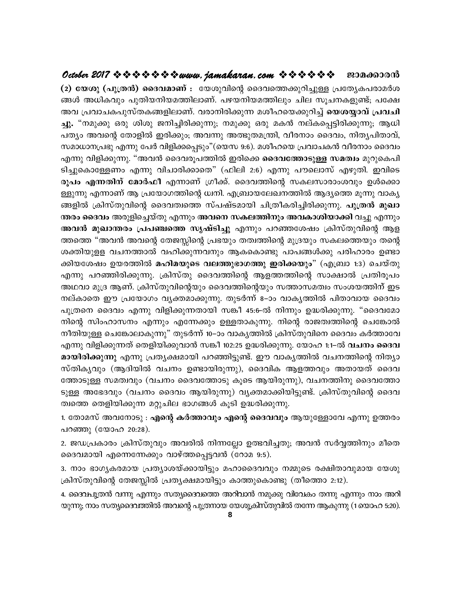## October 2017 \* \* \* \* \* \* \* \* www.jamakaran.com \* \* \* \* \* \* \* E3Da60000

(2) യേശു (പുത്രൻ) ദൈവമാണ് : യേശുവിന്റെ ദൈവത്തെക്കുറിച്ചുള്ള പ്രത്യേകപരാമർശ ങ്ങൾ അധികവും പുതിയനിയമത്തിലാണ്. പഴയനിയമത്തിലും ചില സൂചനകളുണ്ട്; പക്ഷേ അവ പ്രവാചകപുസ്തകങ്ങളിലാണ്. വരാനിരിക്കുന്ന മശീഹയെക്കുറിച്ച് **യെശയ്യാവ് പ്രവചി** ച്ചു. "നമുക്കു ഒരു ശിശു ജനിച്ചിരിക്കുന്നു; നമുക്കു ഒരു മകൻ നല്കപ്പെട്ടിരിക്കുന്നു; ആധി പത്യം അവന്റെ തോളിൽ ഇരിക്കും; അവന്നു അത്ഭുതമന്ത്രി, വീരനാം ദൈവം, നിത്യപിതാവ്, സമാധാനപ്രഭു എന്നു പേർ വിളിക്കപ്പെടും"(യെസ 9:6). മശീഹയെ പ്രവാചകൻ വീരനാം ദൈവം എന്നു വിളിക്കുന്നു. "അവൻ ദൈവരൂപത്തിൽ ഇരിക്കെ **ദൈവത്തോടുള്ള സമത്വം** മുറുകെപി ടിച്ചുകൊള്ളേണം എന്നു വിചാരിക്കാതെ" (ഫിലി 2:6) എന്നു പൗലൊസ് എഴുതി. ഇവിടെ രൂപം എന്നതിന് മോർഫീ എന്നാണ് ഗ്രീക്ക്. ദൈവത്തിന്റെ സകലസാരാംശവും ഉൾക്കൊ ള്ളുന്നു എന്നാണ് ആ പ്രയോഗത്തിന്റെ ധ്വനി. എബ്രായലേഖനത്തിൽ ആദ്യത്തെ മൂന്നു വാക്യ ങ്ങളിൽ ക്രിസ്തുവിന്റെ ദൈവത്വത്തെ സ്പഷ്ടമായി ചിത്രീകരിച്ചിരിക്കുന്നു. **പുത്രൻ മുഖാ** ന്തരം ദൈവം അരുളിച്ചെയ്തു എന്നും അവനെ സകലത്തിനും അവകാശിയാക്കി വച്ചു എന്നും അവൻ മുഖാന്തരം പ്രപഞ്ചത്തെ സൃഷ്ടിച്ചു എന്നും പറഞ്ഞശേഷം ക്രിസ്തുവിന്റെ ആള ത്തത്തെ "അവൻ അവന്റെ തേജസ്സിന്റെ പ്രഭയും തത്വത്തിന്റെ മുദ്രയും സകലത്തെയും തന്റെ ശക്തിയുളള വചനത്താൽ വഹിക്കുന്നവനും ആകകൊണ്ടു പാപങ്ങൾക്കു പരിഹാരം ഉണ്ടാ ക്കിയശേഷം ഉയരത്തിൽ **മഹിമയുടെ വലത്തുഭാഗത്തു ഇരിക്കയും**" (എബ്രാ 1:3) ചെയ്തു എന്നു പറഞ്ഞിരിക്കുന്നു. ക്രിസ്തു ദൈവത്തിന്റെ ആളത്തത്തിന്റെ സാക്ഷാൽ പ്രതിരൂപം അഥവാ മുദ്ര ആണ്. ക്രിസ്തുവിന്റെയും ദൈവത്തിന്റെയും സത്താസമത്വം സംശയത്തിന് ഇട നല്കാതെ ഈ പ്രയോഗം വ്യക്തമാക്കുന്നു. തുടർന്ന് 8–ാം വാകൃത്തിൽ പിതാവായ ദൈവം പുത്രനെ ദൈവം എന്നു വിളിക്കുന്നതായി സങ്കീ 45:6-ൽ നിന്നും ഉദ്ധരിക്കുന്നു. "ദൈവമോ നിന്റെ സിംഹാസനം എന്നും എന്നേക്കും ഉള്ളതാകുന്നു. നിന്റെ രാജത്വത്തിന്റെ ചെങ്കോൽ നീതിയുള്ള ചെങ്കോലാകുന്നു" തുടർന്ന് 10–ാം വാകൃത്തിൽ ക്രിസ്തുവിനെ ദൈവം കർത്താവേ എന്നു വിളിക്കുന്നത് തെളിയിക്കുവാൻ സങ്കീ 102:25 ഉദ്ധരിക്കുന്നു. യോഹ 1:1–ൽ **വചനം ദൈവ** മായിരിക്കുന്നു എന്നു പ്രത്യക്ഷമായി പറഞ്ഞിട്ടുണ്ട്. ഈ വാകൃത്തിൽ വചനത്തിന്റെ നിത്യാ സ്തികൃവും (ആദിയിൽ വചനം ഉണ്ടായിരുന്നു), ദൈവിക ആളത്തവും അതായത് ദൈവ ത്തോടുള്ള സമത്വവും (വചനം ദൈവത്തോടു കുടെ ആയിരുന്നു), വചനത്തിനു ദൈവത്തോ ടുള്ള അഭേദവും (വചനം ദൈവം ആയിരുന്നു) വ്യക്തമാക്കിയിട്ടുണ്ട്. ക്രിസ്തുവിന്റെ ദൈവ ത്വത്തെ തെളിയിക്കുന്ന മറ്റുചില ഭാഗങ്ങൾ കൂടി ഉദ്ധരിക്കുന്നു.

1. തോമസ് അവനോടു : എന്റെ കർത്താവും എന്റെ ദൈവവും ആയുള്ളോവേ എന്നു ഉത്തരം പറഞ്ഞു (യോഹ 20:28).

2. ജഡപ്രകാരം ക്രിസ്തുവും അവരിൽ നിന്നല്ലോ ഉത്ഭവിച്ചതു; അവൻ സർവ്വത്തിനും മീതെ ദൈവമായി എന്നെന്നേക്കും വാഴ്ത്തപ്പെട്ടവൻ (റോമ 9:5).

3. നാം ഭാഗൃകരമായ പ്രത്യാശയ്ക്കായിട്ടും മഹാദൈവവും നമ്മുടെ രക്ഷിതാവുമായ യേശു ക്രിസ്തുവിന്റെ തേജസ്സിൽ പ്രത്യക്ഷമായിട്ടും കാത്തുകൊണ്ടു (തീത്തൊ 2:12).

4. ദൈവപൂത്രൻ വന്നു എന്നും സത്യദൈവത്തെ അറിവാൻ നമുക്കു വിവേകം തന്നു എന്നും നാം അറി യുന്നു; നാം സത്യദൈവത്തിൽ അവന്റെ പുത്രനായ യേശൂകിസ്തുവിൽ തന്നേ ആകുന്നു (1യൊഹ 5:20).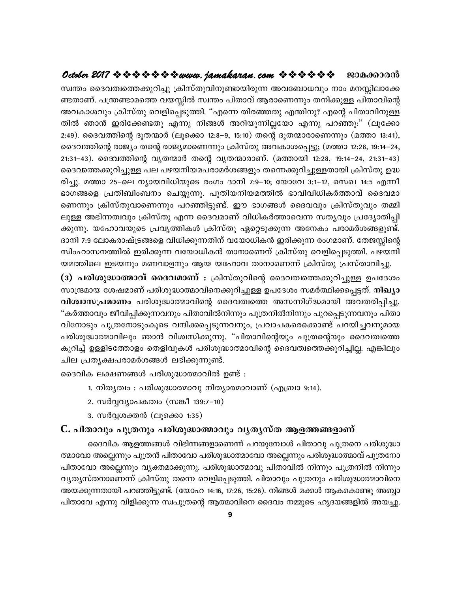# **October 2017 www.jamakaran.com Pma¡mc³**

kz´w ssZh-Xz-s¯ -¡p -dn¨p {InkvXp -hn -\p -m-bn -cp¶ Ah-t\_m-[hpw \mw a\-Ên -em-t¡- -Xm-Wv. ]{´ -m-as¯ hb -Ên kz´w ]nXmhv Bcm-sW¶pw X\n -¡pÅ ]nXm-hnsâ Ah-Im-ihpw {InkvXp shfn -s¸ -Sp -¯n. ""Fs¶ Xnc -ªXp F´n\p? Fsâ ]nXm-hn -\p -Å - സ്വന്തം ദൈവത്വത്തെക്കുറിച്ചു ക്രിസ്തുവിനുണ്ടായിരുന്ന അവബോധവും നാം മനസ്സിലാക്കേ<br>ണ്ടതാണ്. പന്ത്രണ്ടാമത്തെ വയസ്സിൽ സ്വന്തം പിതാവ് ആരാണെന്നും തനിക്കുള്ള പിതാവിന്റെ<br>അവകാശവും ക്രിസ്തു വെളിപ്പെടുത്തി. "എന്നെ തിരഞ്ഞതു എന്തിനു? എന സ്വന്തം ദൈവത്വത്തെക്കുറിച്ചു ക്രിസ്തുവിനുണ്ടായിരുന്ന അവബോധവും നാം മനസ്സിലാക്കേ<br>ണ്ടതാണ്. പന്ത്രണ്ടാമത്തെ വയസ്സിൽ സ്വന്തം പിതാവ് ആരാണെന്നും തനിക്കുള്ള പിതാവിന്റെ<br>അവകാശവും ക്രിസ്തു വെളിപ്പെടുത്തി. "എന്നെ തിരഞ്ഞതു എന്തിനു? എന ണ്ടതാണ്. പന്ത്രണ്ടാമത്തെ വയസ്സിൽ സ്വന്തം പിതാവ് ആരാണെന്നും തനിക്കുള്ള പിതാവിന്റെ<br>അവകാശവും ക്രിസ്തു വെളിപ്പെടുത്തി. "എന്നെ തിരഞ്ഞതു എന്തിനു? എന്റെ പിതാവിനുള്ള<br>തിൽ ഞാൻ ഇരിക്കേണ്ടതു എന്നു നിങ്ങൾ അറിയുന്നില്ലയോ എന്നു പ അവകാശവും ക്രിസ്തു വെളിപ്പെടുത്തി. "എന്നെ തിരഞ്ഞതു എന്തിനു? എന്റെ പിതാവിനുള്ള<br>തിൽ ഞാൻ ഇരിക്കേണ്ടതു എന്നു നിങ്ങൾ അറിയുന്നില്ലയോ എന്നു പറഞ്ഞു:" (ലൂക്കോ<br>2:49). ദൈവത്തിന്റെ ദൂതന്മാർ (ലൂക്കൊ 12:8–9, 15:10) തന്റെ ദൂതന് തിൽ ഞാൻ ഇരിക്കേണ്ടതു എന്നു നിങ്ങൾ അറിയുന്നില്ലയോ എന്നു പറഞ്ഞു:" (ലൂക്കോ<br>2:49). ദൈവത്തിന്റെ ദൂതന്മാർ (ലൂക്കൊ 12:8–9, 15:10) തന്റെ ദൂതന്മാരാണെന്നും (മത്താ 13:41),<br>ദൈവത്തിന്റെ രാജ്യം തന്റെ രാജ്യമാണെന്നും ക്രിസ്തു അവകാശപ്പെട് 2:49). ദൈവത്തിന്റെ ദൂതന്മാർ (ലൂക്കൊ 12:8–9, 15:10) തന്റെ ദൂതന്മാരാണെന്നും (മത്താ 13:41),<br>ദൈവത്തിന്റെ രാജ്യം തന്റെ രാജ്യമാണെന്നും ക്രിസ്തു അവകാശപ്പെട്ടു; (മത്താ 12:28, 19:14–24,<br>21:31–43). ദൈവത്തിന്റെ വൃതന്മാർ തന്റെ വൃതന്മ ദൈവത്തിന്റെ രാജ്യം തന്റെ രാജ്യമാണെന്നും ക്രിസ്തു അവകാശപ്പെട്ടു; (മത്താ 12:28, 19:14–24,<br>21:31–43). ദൈവത്തിന്റെ വൃതന്മാർ തന്റെ വൃതന്മാരാണ്. (മത്തായി 12:28, 19:14–24, 21:31–43)<br>ദൈവത്തെക്കുറിച്ചുള്ള പല പഴയനിയമപരാമർശങ്ങളും തന 21:31–43). ദൈവത്തിന്റെ വൃതന്മാർ തന്റെ വൃതന്മാരാണ്. (മത്തായി 12:28, 19:14–24, 21:31–43)<br>ദൈവത്തെക്കുറിച്ചുള്ള പല പഴയനിയമപരാമർശങ്ങളും തന്നെക്കുറിച്ചുള്ളതായി ക്രിസ്തു ഉദ്ധ<br>രിച്ചു. മത്താ 25–ലെ ന്യായവിധിയുടെ രംഗം ദാനി 7:9–10; യ ദൈവത്തെക്കുറിച്ചുള്ള പല പഴയനിയമപരാമർശങ്ങളും തന്നെക്കുറിച്ചുള്ളതായി ക്രിസ്തു ഉദ്ധ<br>രിച്ചു. മത്താ 25–ലെ ന്യായവിധിയുടെ രംഗം ദാനി 7:9–10; യോവേ 3:1–12, സെഖ 14:5 എന്നീ<br>ഭാഗങ്ങളെ പ്രതിബിംബനം ചെയ്യുന്നു. പുതിയനിയമത്തിൽ ഭാവിവിധികർത് രിച്ചു. മത്താ 25–ലെ ന്യായവിധിയുടെ രംഗം ദാനി 7:9–10; യോവേ 3:1–12, സെഖ 14:5 എന്നീ<br>ഭാഗങ്ങളെ പ്രതിബിംബനം ചെയ്യുന്നു. പുതിയനിയമത്തിൽ ഭാവിവിധികർത്താവ് ദൈവമാ<br>ണെന്നും ക്രിസ്തുവാണെന്നും പറഞ്ഞിട്ടുണ്ട്. ഈ ഭാഗങ്ങൾ ദൈവവും ക്രിസ്തുവും ഭാഗങ്ങളെ പ്രതിബിംബനം ചെയ്യുന്നു. പുതിയനിയമത്തിൽ ഭാവിവിധികർത്താവ് ദൈവമാ<br>ണെന്നും ക്രിസ്തുവാണെന്നും പറഞ്ഞിട്ടുണ്ട്. ഈ ഭാഗങ്ങൾ ദൈവവും ക്രിസ്തുവും തമ്മി<br>ലുള്ള അഭിന്നത്വവും ക്രിസ്തു എന്ന ദൈവമാണ് വിധികർത്താവെന്ന സത്യവും പ്രദ്യോത ണെന്നും ക്രിസ്തുവാണെന്നും പറഞ്ഞിട്ടുണ്ട്. ഈ ഭാഗങ്ങൾ ദൈവവും ക്രിസ്തുവും തമ്മി<br>ലുള്ള അഭിന്നത്വവും ക്രിസ്തു എന്ന ദൈവമാണ് വിധികർത്താവെന്ന സതൃവും പ്രദ്യോതിപ്പി<br>ക്കുന്നു. യഹോവയുടെ പ്രവൃത്തികൾ ക്രിസ്തു ഏറ്റെടുക്കുന്ന അനേകം പരാമർ ലുള്ള അഭിന്നത്വവും ക്രിസ്തു എന്ന ദൈവമാണ് വിധികർത്താവെന്ന സതൃവും പ്രദ്യോതിപ്പി<br>ക്കുന്നു. യഹോവയുടെ പ്രവൃത്തികൾ ക്രിസ്തു ഏറ്റെടുക്കുന്ന അനേകം പരാമർശങ്ങളുണ്ട്.<br>ദാനി 7:9 ലോകരാഷ്ട്രങ്ങളെ വിധിക്കുന്നതിന് വയോധികൻ ഇരിക്കുന്ന രംഗമാ

ക്കുന്നു. യഹോവയുടെ പ്രവൃത്തികശ ക്രിസതു ഏറ്റെടുക്കുന്ന അനേകം പരാമരശങ്ങളുണ്ട.<br>ദാനി 7:9 ലോകരാഷ്ട്രങ്ങളെ വിധിക്കുന്നതിന് വയോധികൻ ഇരിക്കുന്ന രംഗമാണ്. തേജസ്സിന്റെ<br>സിംഹാസനത്തിൽ ഇരിക്കുന്ന വയോധികൻ താനാണെന് ക്രിസ്തു വെളിപ്പെടുത്തി ദാനി 7:9 ലോകരാഷ്ട്രങ്ങളെ വിധിക്കുന്നതിന വയോധികൻ ഇരിക്കുന്ന രാഗമാണ. തേജസ്സിന്റെ<br>സിംഹാസനത്തിൽ ഇരിക്കുന്ന വയോധികൻ താനാണെന്ന് ക്രിസ്തു വെളിപ്പെടുത്തി. പഴയനി<br>യമത്തിലെ ഇടയനും മണവാളനും ആയ യഹോവ താനാണെന്ന് ക്രിസ്തു പ്രസ്താവിച്ചു.<br> സരഹാസനത്തിരം ഇരിക്കുന്ന വയോധികൻ താനാണെന്ന ക്രിസതു വെളിപ്പെടുത്തി. പഴയനി<br>യമത്തിലെ ഇടയനും മണവാളനും ആയ യഹോവ താനാണെന്ന് ക്രിസ്തു പ്രസ്താവിച്ചു.<br>**(3) പരിശുദ്ധാത്മാവ് ദൈവമാണ് :** ക്രിസ്തുവിന്റെ ദൈവത്വത്തെക്കുറിച്ചുള്ള ഉപദേശം<br>സ "കർത്താവും ജീവിപ്പിക്കുന്നവനും പിതാവിൽനിന്നും പുത്രനിൽനിന്നും പുറപ്പെടുന്നവനും പിതാ<br>വിനോടും പുത്രനോടുംകൂടെ വന്ദിക്കപ്പെടുന്നവനും, പ്രവാചകരെക്കൊണ്ട് പറയിച്ചവനുമായ<br>പരിശുദ്ധാത്മാവിലും ഞാൻ വിശ്വസിക്കുന്നു. "പിതാവിന്റെയും പുത് (3) പരിശുദ്ധാത്മാവ് ദൈവമാണ് : ക്രിസ്തുവിന്റെ ദൈവത്വത്തെക്കുറിച്ചുള്ള ഉപദേശം<br>സാന്ദ്രമായ ശേഷമാണ് പരിശുദ്ധാത്മാവിനെക്കുറിച്ചുള്ള ഉപദേശം സമർത്ഥിക്കപ്പെട്ടത്. **നിഖ്യാ**<br>വിശ്വാസപ്രമാണം പരിശുദ്ധാത്മാവിന്റെ ദൈവത്വത്തെ അസന്നിഗ്ദ്ധമ സാന്ദ്രമായ ശേഷമാണ് പരിശുദ്ധാത്മാവിനെക്കുറിച്ചുള്ള ഉപദേശം സമർത്ഥിക്കപ്പെട്ടത്. **നിഖ്യാ**<br>**വിശ്വാസപ്രമാണം** പരിശുദ്ധാത്മാവിന്റെ ദൈവത്വത്തെ അസന്നിഗ്ദ്ധമായി അവതരിപ്പിച്ചു.<br>"കർത്താവും ജീവിപ്പിക്കുന്നവനും പിതാവിൽനിന്നും പുത്രനിൽന വിശ്വാസപ്രമാണം പരിശുദ്ധാത്മാവിന്റെ ദൈവത്വത്തെ അസന്നിഗ്ദ്ധമായി അവതരിപ്പിച്ചു.<br>"കർത്താവും ജീവിപ്പിക്കുന്നവനും പിതാവിൽനിന്നും പുത്രനിൽനിന്നും പുറപ്പെടുന്നവനും പിതാ<br>വിനോടും പുത്രനോടുംകൂടെ വന്ദിക്കപ്പെടുന്നവനും, പ്രവാചകരെക്കൊണ വിനോടും പുത്രനോടുംകൂടെ വന്ദിക്കപ്പെടുന്നവനും, പ്രവാചകരെക്കൊണ്ട് പറയിച്ചവനുമായ<br>പരിശുദ്ധാത്മാവിലും ഞാൻ വിശ്വസിക്കുന്നു. "പിതാവിന്റെയും പുത്രന്റെയും ദൈവത്വത്തെ<br>കുറിച്ച് ഉള്ളിടത്തോളം തെളിവുകൾ പരിശുദ്ധാത്മാവിന്റെ ദൈവത്വത്തെക്ക കുറിച്ച് ഉള്ളിടത്തോളം തെളിവുകൾ പരിശുദ്ധാത്മാവിന്റെ ദൈവത്വത്തെക്കുറിച്ചില്ല. എങ്കിലും<br>ചില പ്രത്യക്ഷപരാമർശങ്ങൾ ലഭിക്കുന്നുണ്ട്.<br>ദൈവിക ലക്ഷണങ്ങൾ പരിശുദ്ധാത്മാവിൽ ഉണ്ട് :<br>1. നിത്യത്വം : പരിശുദ്ധാത്മാവു നിത്യാത്മാവാണ് (എബ്രാ 9

ക ലക്ഷണങ്ങൾ പരിശുദ്ധാത്മാവിൽ ഉ<br>1. നിതൃത്വം : പരിശുദ്ധാത്മാവു നിതൃ<br>2. സർവ്വവ്യാപകത്വം (സങ്കീ 139:7-10)<br>3. സർവ്വശക്തൻ (ലൂക്കൊ 1:35)<br>**താവും പുത്രനും പരിശുദ്ധാത്മാവ**<br>ദൈവിക അഞ്ഞങ്ങൾ വിഭിന്നങ്ങളാളെ

- 1. നിതൃത്വം : പരിശുദ്ധാത്മാവു നിതൃാത്മാവാണ് (എബ്രാ 9:14).
- 
- 

# $\mathbf C$ . പിതാവും പുത്രനും പരിശുദ്ധാത്മാവും വൃതൃസ്ത ആളത്തങ്ങളാണ്

ദെെവിക ആളത്തങ്ങൾ വിഭിന്നങ്ങളാണെന്ന് പറയുമ്പോൾ പിതാവു പുത്രനെ പരിശുദ്ധാ ത്മാവോ അല്ലെന്നും പുത്രൻ പിതാവോ പരിശുദ്ധാത്മാവോ അല്ലെന്നും പരിശുദ്ധാത്മാവ് പുത്രനോ പിതാവോ അല്ലെന്നും വ്യക്തമാക്കുന്നു. പരിശുദ്ധാത്മാവു പിതാവിൽ നിന്നും പുത്രനിൽ നിന്നും വൃത്യസ്തനാണെന്ന് ക്രിസ്തു തന്നെ വെളിപ്പെടുത്തി. പിതാവും പുത്രനും പരിശുദ്ധാത്മാവിനെ അയക്കുന്നതായി പറഞ്ഞിട്ടുണ്ട്. (യോഹ 14:16, 17:26, 15:26). നിങ്ങൾ മക്കൾ ആകകൊണ്ടു അബ്ബാ പിതാവേ എന്നു വിളിക്കുന്ന സ്വപുത്രന്റെ ആത്മാവിനെ ദൈവം നമ്മുടെ ഹൃദയങ്ങളിൽ അയച്ചു.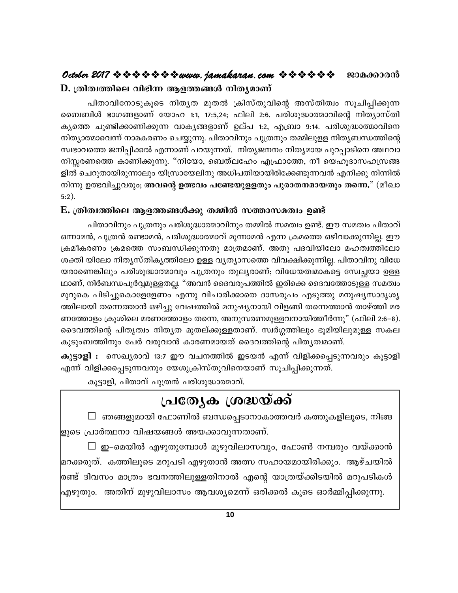# $\mathbf D$ . ത്രിത്വത്തിലെ വിഭിന്ന ആളത്തങ്ങൾ നിത്യമാണ്

പിതാവിനോടുകൂടെ നിത്യത മുതൽ ക്രിസ്തുവിന്റെ അസ്തിത്വം സൂചിപ്പിക്കുന്ന ബൈബിൾ ഭാഗങ്ങളാണ് യോഹ 1:1, 17:5,24; ഫിലി 2:6. പരിശുദ്ധാത്മാവിന്റെ നിത്യാസ്തി കൃത്തെ ചൂണ്ടിക്കാണിക്കുന്ന വാകൃങ്ങളാണ് ഉല്പ 1:2, എബ്രാ 9:14. പരിശുദ്ധാത്മാവിനെ നിത്യാത്മാവെന്ന് നാമകരണം ചെയ്യുന്നു. പിതാവിനും പുത്രനും തമ്മിലുളള നിതൃബന്ധത്തിന്റെ സ്വഭാവത്തെ ജനിപ്പിക്കൽ എന്നാണ് പറയുന്നത്. നിത്യജനനം നിത്യമായ പുറപ്പാടിനെ അഥവാ നിസ്സരണത്തെ കാണിക്കുന്നു. "നിയോ, ബെത്ലഹേം എഫ്രാത്തേ, നീ യെഹൂദാസഹസ്രങ്ങ ളിൽ ചെറുതായിരുന്നാലും യിസ്രായേലിനു അധിപതിയായിരിക്കേണ്ടുന്നവൻ എനിക്കു നിന്നിൽ നിന്നു ഉത്ഭവിച്ചുവരും; അവന്റെ ഉത്ഭവം പണ്ടേയുളളതും പുരാതനമായതും തന്നെ." (മീഖാ  $5:2$ ).

## E. ത്രിത്വത്തിലെ ആളത്തങ്ങൾക്കു തമ്മിൽ സത്താസമത്വം ഉണ്ട്

പിതാവിനും പുത്രനും പരിശുദ്ധാത്മാവിനും തമ്മിൽ സമത്വം ഉണ്ട്. ഈ സമത്വം പിതാവ് ഒന്നാമൻ, പുത്രൻ രണ്ടാമൻ, പരിശുദ്ധാത്മാവ് മൂന്നാമൻ എന്ന ക്രമത്തെ ഒഴിവാക്കുന്നില്ല. ഈ ക്രമീകരണം ക്രമത്തെ സംബന്ധിക്കുന്നതു മാത്രമാണ്. അതു പദവിയിലോ മഹത്വത്തിലോ ശക്തി യിലോ നിതൃസ്തികൃത്തിലോ ഉള്ള വൃത്യാസത്തെ വിവക്ഷിക്കുന്നില്ല. പിതാവിനു വിധേ യരാണെങ്കിലും പരിശുദ്ധാത്മാവും പുത്രനും തുല്യരാണ്; വിധേയത്വമാകട്ടെ സ്വേച്ചയാ ഉള്ള ഥാണ്, നിർബന്ധപൂർവ്വമുള്ളതല്ല. "അവൻ ദൈവരൂപത്തിൽ ഇരിക്കെ ദൈവത്തോടുള്ള സമത്വം മുറുകെ പിടിച്ചുകൊളേളേണം എന്നു വിചാരിക്കാതെ ദാസരൂപം എടുത്തു മനുഷ്യസാദൃശ്യ ത്തിലായി തന്നെത്താൻ ഒഴിച്ചു വേഷത്തിൽ മനുഷ്യനായി വിളങ്ങി തന്നെത്താൻ താഴ്ത്തി മര ണത്തോളം ക്രൂശിലെ മരണത്തോളം തന്നെ, അനുസരണമുള്ളവനായിത്തീർന്നു" (ഫിലി 2:6–8). ദൈവത്തിന്റെ പിതൃത്വം നിതൃത മുതല്ക്കുള്ളതാണ്. സ്വർഗ്ഗത്തിലും ഭൂമിയിലുമുള്ള സകല കുടുംബത്തിനും പേർ വരുവാൻ കാരണമായത് ദൈവത്തിന്റെ പിതൃത്വമാണ്.

**കൂട്ടാളി :** സെഖ്യരാവ് 13:7 ഈ വചനത്തിൽ ഇടയൻ എന്ന് വിളിക്കപ്പെടുന്നവരും കൂട്ടാളി എന്ന് വിളിക്കപ്പെടുന്നവനും യേശുക്രിസ്തുവിനെയാണ് സൂചിപ്പിക്കുന്നത്.

കൂട്ടാളി, പിതാവ് പുത്രൻ പരിശുദ്ധാത്മാവ്.

# പ്രത്യേക ശ്രദ്ധയ്ക്ക്

 $\Box$  ഞങ്ങളുമായി ഫോണിൽ ബന്ധപ്പെടാനാകാത്തവർ കത്തുകളിലൂടെ, നിങ്ങ ളുടെ പ്രാർത്ഥനാ വിഷയങ്ങൾ അയക്കാവുന്നതാണ്.

 $\Box$  ഇ–മെയിൽ എഴുതുമ്പോൾ മുഴുവിലാസവും, ഫോൺ നമ്പരും വയ്ക്കാൻ മറക്കരുത്. കത്തിലൂടെ മറുപടി എഴുതാൻ അത്സ സഹായമായിരിക്കും. ആഴ്ചയിൽ രണ്ട് ദിവസം മാത്രം ഭവനത്തിലുള്ളതിനാൽ എന്റെ യാത്രയ്ക്കിടയിൽ മറുപടികൾ എഴുതും. അതിന് മുഴുവിലാസം ആവശ്യമെന്ന് ഒരിക്കൽ കൂടെ ഓർമ്മിപ്പിക്കുന്നു.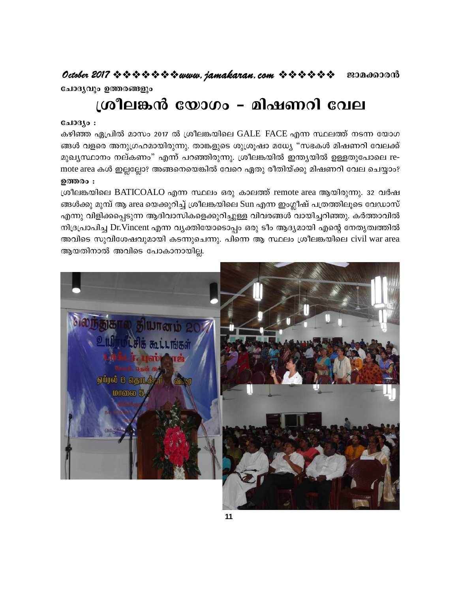ചോദൃവും ഉത്തരങ്ങളും

# ശ്രീലങ്കൻ യോഗം – മിഷണറി വേല

## $0.103$  :

കഴിഞ്ഞ ഏപ്രിൽ മാസം 2017 ൽ ശ്രീലങ്കയിലെ GALE FACE എന്ന സ്ഥലത്ത് നടന്ന യോഗ ങ്ങൾ വളരെ അനുഗ്രഹമായിരുന്നു. താങ്കളുടെ ശുശ്രൂഷാ മധ്യേ "സഭകൾ മിഷണറി വേലക്ക് മുഖ്യസ്ഥാനം നല്കണം" എന്ന് പറഞ്ഞിരുന്നു. ശ്രീലങ്കയിൽ ഇന്ത്യയിൽ ഉള്ളതുപോലെ remote area കൾ ഇല്ലല്ലോ? അങ്ങനെയെങ്കിൽ വേറെ ഏതു രീതിയ്ക്കു മിഷണറി വേല ചെയ്യാം? ഉത്തരം :

ശ്രീലങ്കയിലെ BATICOALO എന്ന സ്ഥലം ഒരു കാലത്ത് remote area ആയിരുന്നു. 32 വർഷ ങ്ങൾക്കു മുമ്പ് ആ area യെക്കുറിച്ച് ശ്രീലങ്കയിലെ Sun എന്ന ഇംഗ്ലീഷ് പത്രത്തിലൂടെ വേഡാസ് എന്നു വിളിക്കപ്പെടുന്ന ആദിവാസികളെക്കുറിച്ചുള്ള വിവരങ്ങൾ വായിച്ചറിഞ്ഞു. കർത്താവിൽ നിദ്രപ്രാപിച്ച Dr.Vincent എന്ന വ്യക്തിയോടൊപ്പം ഒരു ടീം ആദ്യമായി എന്റെ നേതൃത്വത്തിൽ അവിടെ സുവിശേഷവുമായി കടന്നുചെന്നു. പിന്നെ ആ സ്ഥലം ശ്രീലങ്കയിലെ civil war area ആയതിനാൽ അവിടെ പോകാനായില്ല.

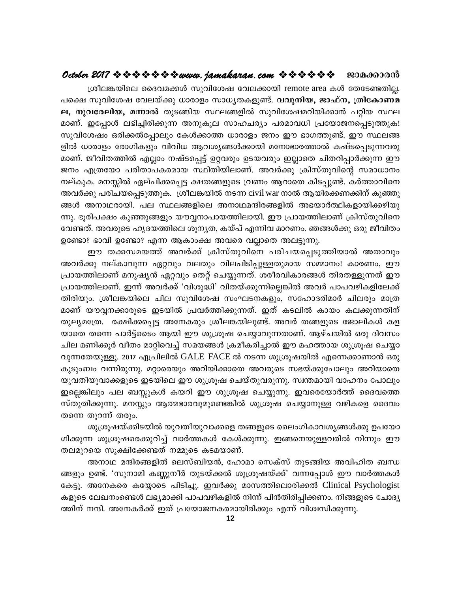## 

ശ്രീലങ്കയിലെ ദൈവമക്കൾ സുവിശേഷ വേലക്കായി remote area കൾ തേടേണ്ടതില്ല. പക്ഷെ സുവിശേഷ വേലയ്ക്കു ധാരാളം സാധ്യതകളുണ്ട്. **വവുനിയ, ജാഫ്ന, ത്രികോണമ ല, നുവരേലിയ, മന്നാൽ** തുടങ്ങിയ സ്ഥലങ്ങളിൽ സുവിശേഷമറിയിക്കാൻ പറ്റിയ സ്ഥല മാണ്. ഇപ്പോൾ ലഭിച്ചിരിക്കുന്ന അനുകൂല സാഹചര്യം പരമാവധി പ്രയോജനപ്പെടുത്തുക! സുവിശേഷം ഒരിക്കൽപ്പോലും കേൾക്കാത്ത ധാരാളം ജനം ഈ ഭാഗത്തുണ്ട്. ഈ സ്ഥലങ്ങ ളിൽ ധാരാളം രോഗികളും വിവിധ ആവശ്യങ്ങൾക്കായി മനോഭാരത്താൽ കഷ്ടപ്പെടുന്നവരു മാണ്. ജീവിതത്തിൽ എല്ലാം നഷ്ടപ്പെട്ട് ഉറ്റവരും ഉടയവരും ഇല്ലാതെ ചിതറിപ്പാർക്കുന്ന ഈ ജനം എത്രയോ പരിതാപകരമായ സ്ഥിതിയിലാണ്. അവർക്കു ക്രിസ്തുവിന്റെ സമാധാനം നല്കുക. മനസ്സിൽ ഏല്പിക്കപ്പെട്ട ക്ഷതങ്ങളുടെ വ്രണം ആറാതെ കിടപ്പുണ്ട്. കർത്താവിനെ അവർക്കു പരിചയപ്പെടുത്തുക. ശ്രീലങ്കയിൽ നടന്ന civil war നാൽ ആയിരക്കണക്കിന് കുഞ്ഞു ങ്ങൾ അനാഥരായി. പല സ്ഥലങ്ങളിലെ അനാഥമന്ദിരങ്ങളിൽ അഭയാർത്ഥികളായിക്കഴിയു ന്നു. ഭൂരിപക്ഷം കുഞ്ഞുങ്ങളും യൗവ്വനാപായത്തിലായി. ഈ പ്രായത്തിലാണ് ക്രിസ്തുവിനെ വേണ്ടത്. അവരുടെ ഹൃദയത്തിലെ ശൂന്യത, കയ്പ് എന്നിവ മാറണം. ഞങ്ങൾക്കു ഒരു ജീവിതം ഉണ്ടോ? ഭാവി ഉണ്ടോ? എന്ന ആകാംക്ഷ അവരെ വല്ലാതെ അലട്ടുന്നു.

ഈ തക്കസമയത്ത് അവർക്ക് ക്രിസ്തുവിനെ പരിചയപ്പെടുത്തിയാൽ അതാവും അവർക്കു നല്കാവുന്ന ഏറ്റവും വലതും വിലപിടിപ്പുള്ളതുമായ സമ്മാനം! കാരണം, ഈ പ്രായത്തിലാണ് മനുഷ്യൻ ഏറ്റവും തെറ്റ് ചെയ്യുന്നത്. ശരീരവികാരങ്ങൾ തിരതള്ളുന്നത് ഈ പ്രായത്തിലാണ്. ഇന്ന് അവർക്ക് 'വിശുദ്ധി' വിതയ്ക്കുന്നില്ലെങ്കിൽ അവർ പാപവഴികളിലേക്ക് തിരിയും. ശ്രീലങ്കയിലെ ചില സുവിശേഷ സംഘടനകളും, സഹോദരിമാർ ചിലരും മാത്ര മാണ് യൗവ്വനക്കാരുടെ ഇടയിൽ പ്രവർത്തിക്കുന്നത്. ഇത് കടലിൽ കായം കലക്കുന്നതിന് തുല്യമത്രേ. രക്ഷിക്കപ്പെട്ട അനേകരും ശ്രീലങ്കയിലുണ്ട്. അവർ തങ്ങളുടെ ജോലികൾ കള യാതെ തന്നെ പാർട്ട്ടൈം ആയി ഈ ശുശ്രൂഷ ചെയ്യാവുന്നതാണ്. ആഴ്ചയിൽ ഒരു ദിവസം ചില മണിക്കൂർ വീതം മാറ്റിവെച്ച് സമയങ്ങൾ ക്രമീകരിച്ചാൽ ഈ മഹത്തായ ശുശ്രൂഷ ചെയ്യാ വുന്നതേയുള്ളൂ. 2017 ഏപ്രിലിൽ GALE FACE ൽ നടന്ന ശുശ്രൂഷയിൽ എന്നെക്കാണാൻ ഒരു കുടുംബം വന്നിരുന്നു. മറ്റാരെയും അറിയിക്കാതെ അവരുടെ സഭയ്ക്കുപോലും അറിയാതെ യുവതിയുവാക്കളുടെ ഇടയിലെ ഈ ശുശ്രൂഷ ചെയ്തുവരുന്നു. സ്വന്തമായി വാഹനം പോലും ഇല്ലെങ്കിലും പല ബസ്സുകൾ കയറി ഈ ശുശ്രൂഷ ചെയ്യുന്നു. ഇവരെയോർത്ത് ദൈവത്തെ സ്തുതിക്കുന്നു. മനസ്സും ആത്മഭാരവുമുണ്ടെങ്കിൽ ശുശ്രൂഷ ചെയ്യാനുള്ള വഴികളെ ദൈവം തന്നെ തുറന്ന് തരും.

ശുശ്രൂഷയ്ക്കിടയിൽ യുവതീയുവാക്കളെ തങ്ങളുടെ ലൈംഗികാവശൃങ്ങൾക്കു ഉപയോ ഗിക്കുന്ന ശുശ്രൂഷരെക്കുറിച്ച് വാർത്തകൾ കേൾക്കുന്നു. ഇങ്ങനെയുള്ളവരിൽ നിന്നും ഈ തലമുറയെ സൂക്ഷിക്കേണ്ടത് നമ്മുടെ കടമയാണ്.

അനാഥ മന്ദിരങ്ങളിൽ ലെസ്ബിയൻ, ഹോമാ സെക്സ് തുടങ്ങിയ അവിഹിത ബന്ധ ങ്ങളും ഉണ്ട്. 'സുനാമി കണ്ണുനീർ തുടയ്ക്കൽ ശുശ്രൂഷയ്ക്ക്' വന്നപ്പോൾ ഈ വാർത്തകൾ കേട്ടു. അനേകരെ കയ്യോടെ പിടിച്ചു. ഇവർക്കു മാസത്തിലൊരിക്കൽ Clinical Psychologist കളുടെ ലേഖനംണ്ടെൾ ലഭ്യമാക്കി പാപവഴികളിൽ നിന്ന് പിൻതിരിപ്പിക്കണം. നിങ്ങളുടെ ചോദ്യ ത്തിന് നന്ദി. അനേകർക്ക് ഇത് പ്രയോജനകരമായിരിക്കും എന്ന് വിശ്വസിക്കുന്നു.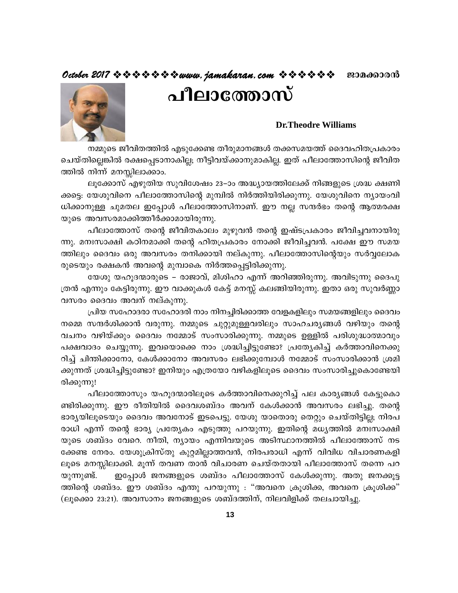# October 2017  $\Leftrightarrow \Leftrightarrow \Leftrightarrow \Leftrightarrow \Leftrightarrow www.$ jamakaran.com  $\Leftrightarrow \Leftrightarrow \Leftrightarrow \Leftrightarrow \Leftrightarrow w$  enanonomo

# പീലാത്തോസ്



## **Dr.Theodre Williams**

നമ്മുടെ ജീവിതത്തിൽ എടുക്കേണ്ട തീരുമാനങ്ങൾ തക്കസമയത്ത് ദൈവഹിതപ്രകാരം ചെയ്തില്ലെങ്കിൽ രക്ഷപ്പെടാനാകില്ല; നീട്ടിവയ്ക്കാനുമാകില്ല. ഇത് പീലാത്തോസിന്റെ ജീവിത ത്തിൽ നിന്ന് മനസ്സിലാക്കാം.

ലൂക്കോസ് എഴുതിയ സുവിശേഷം 23–ാം അദ്ധ്യായത്തിലേക്ക് നിങ്ങളുടെ ശ്രദ്ധ ക്ഷണി ക്കട്ടെ: യേശുവിനെ പീലാത്തോസിന്റെ മുമ്പിൽ നിർത്തിയിരിക്കുന്നു. യേശുവിനെ ന്യായംവി ധിക്കാനുള്ള ചുമതല ഇപ്പോൾ പീലാത്തോസിനാണ്. ഈ നല്ല സന്ദർഭം തന്റെ ആത്മരക്ഷ യുടെ അവസരമാക്കിത്തീർക്കാമായിരുന്നു.

പീലാത്തോസ് തന്റെ ജീവിതകാലം മുഴുവൻ തന്റെ ഇഷ്ടപ്രകാരം ജീവിച്ചവനായിരു ന്നു. മനഃസാക്ഷി കഠിനമാക്കി തന്റെ ഹിതപ്രകാരം നോക്കി ജീവിച്ചവൻ. പക്ഷേ ഈ സമയ ത്തിലും ദൈവം ഒരു അവസരം തനിക്കായി നല്കുന്നു. പീലാത്തോസിന്റെയും സർവ്വലോക രുടെയും രക്ഷകൻ അവന്റെ മുമ്പാകെ നിർത്തപ്പെട്ടിരിക്കുന്നു.

യേശു യഹുദന്മാരുടെ – രാജാവ്, മിശിഹാ എന്ന് അറിഞ്ഞിരുന്നു. അവിടുന്നു ദൈപു ത്രൻ എന്നും കേട്ടിരുന്നു. ഈ വാക്കുകൾ കേട്ട് മനസ്സ് കലങ്ങിയിരുന്നു. ഇതാ ഒരു സുവർണ്ണാ വസരം ദൈവം അവന് നല്കുന്നു.

പ്രിയ സഹോദരാ സഹോദരി നാം നിനച്ചിരിക്കാത്ത വേളകളിലും സമയങ്ങളിലും ദൈവം നമ്മെ സന്ദർശിക്കാൻ വരുന്നു. നമ്മുടെ ചുറ്റുമുള്ളവരിലും സാഹചര്യങ്ങൾ വഴിയും തന്റെ വചനം വഴിയ്ക്കും ദൈവം നമ്മോട് സംസാരിക്കുന്നു. നമ്മുടെ ഉള്ളിൽ പരിശുദ്ധാത്മാവും പക്ഷവാദം ചെയ്യുന്നു. ഇവയൊക്കെ നാം ശ്രദ്ധിച്ചിട്ടുണ്ടോ? പ്രത്യേകിച്ച് കർത്താവിനെക്കു റിച്ച് ചിന്തിക്കാനോ, കേൾക്കാനോ അവസരം ലഭിക്കുമ്പോൾ നമ്മോട് സംസാരിക്കാൻ ശ്രമി ക്കുന്നത് ശ്രദ്ധിച്ചിട്ടുണ്ടോ? ഇനിയും എത്രയോ വഴികളിലൂടെ ദൈവം സംസാരിച്ചുകൊണ്ടേയി രിക്കുന്നു!

പീലാത്തോസും യഹൂദന്മാരിലൂടെ കർത്താവിനെക്കുറിച്ച് പല കാര്യങ്ങൾ കേട്ടുകൊ ണ്ടിരിക്കുന്നു. ഈ രീതിയിൽ ദൈവശബ്ദം അവന് കേൾക്കാൻ അവസരം ലഭിച്ചു. തന്റെ ഭാര്യയിലൂടെയും ദൈവം അവനോട് ഇടപെട്ടു. യേശു യാതൊരു തെറ്റും ചെയ്തിട്ടില്ല; നിരപ രാധി എന്ന് തന്റെ ഭാര്യ പ്രത്യേകം എടുത്തു പറയുന്നു. ഇതിന്റെ മധ്യത്തിൽ മനഃസാക്ഷി യുടെ ശബ്ദം വേറെ. നീതി, ന്യായം എന്നിവയുടെ അടിസ്ഥാനത്തിൽ പീലാത്തോസ് നട ക്കേണ്ട നേരം. യേശുക്രിസ്തു കുറ്റമില്ലാത്തവൻ, നിരപരാധി എന്ന് വിവിധ വിചാരണകളി ലൂടെ മനസ്സിലാക്കി. മൂന്ന് തവണ താൻ വിചാരണ ചെയ്തതായി പീലാത്തോസ് തന്നെ പറ ഇപ്പോൾ ജനങ്ങളുടെ ശബ്ദം പീലാത്തോസ് കേൾക്കുന്നു. അതു ജനക്കൂട്ട യുന്നുണ്ട്. ത്തിന്റെ ശബ്ദം. ഈ ശബ്ദം എന്തു പറയുന്നു : "അവനെ ക്രൂശിക്ക, അവനെ ക്രൂശിക്ക" (ലുക്കൊ 23:21). അവസാനം ജനങ്ങളുടെ ശബ്ദത്തിന്, നിലവിളിക്ക് തലചായിച്ചു.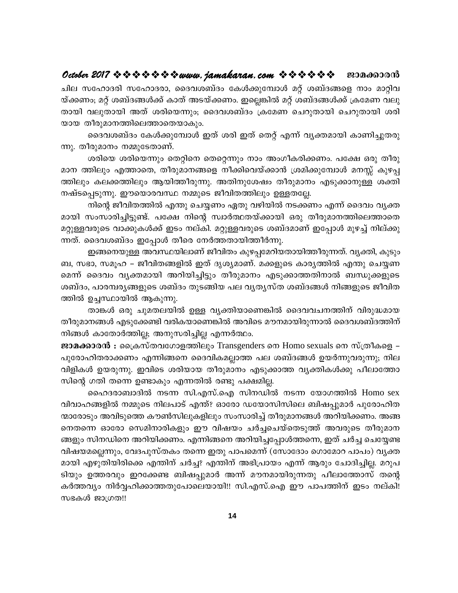ചില സഹോദരി സഹോദരാ, ദൈവശബ്ദം കേൾക്കുമ്പോൾ മറ്റ് ശബ്ദങ്ങളെ നാം മാറ്റിവ യ്ക്കണം; മറ്റ് ശബ്ദങ്ങൾക്ക് കാത് അടയ്ക്കണം. ഇല്ലെങ്കിൽ മറ്റ് ശബ്ദങ്ങൾക്ക് ക്രമേണ വലു തായി വലുതായി അത് ശരിയെന്നും; ദൈവശബ്ദം ക്രമേണ ചെറുതായി ചെറുതായി ശരി യായ തീരുമാനത്തിലെത്താതെയാകും.

ദൈവശബ്ദം കേൾക്കുമ്പോൾ ഇത് ശരി ഇത് തെറ്റ് എന്ന് വ്യക്തമായി കാണിച്ചുതരു ന്നു. തീരുമാനം നമ്മുടേതാണ്.

ശരിയെ ശരിയെന്നും തെറ്റിനെ തെറ്റെന്നും നാം അംഗീകരിക്കണം. പക്ഷേ ഒരു തീരു മാന ത്തിലും എത്താതെ, തീരുമാനങ്ങളെ നീക്കിവെയ്ക്കാൻ ശ്രമിക്കുമ്പോൾ മനസ്സ് കുഴപ്പ ത്തിലും കലക്കത്തിലും ആയിത്തീരുന്നു. അതിനുശേഷം തീരുമാനം എടുക്കാനുള്ള ശക്തി നഷ്ടപ്പെടുന്നു. ഈയൊരവസ്ഥ നമ്മുടെ ജീവിതത്തിലും ഉള്ളതല്ലേ.

നിന്റെ ജീവിതത്തിൽ എന്തു ചെയ്യണം ഏതു വഴിയിൽ നടക്കണം എന്ന് ദൈവം വൃക്ത മായി സംസാരിച്ചിട്ടുണ്ട്. പക്ഷേ നിന്റെ സ്വാർത്ഥതയ്ക്കായി ഒരു തീരുമാനത്തിലെത്താതെ മറ്റുള്ളവരുടെ വാക്കുകൾക്ക് ഇടം നല്കി. മറ്റുള്ളവരുടെ ശബ്ദമാണ് ഇപ്പോൾ മുഴച്ച് നില്ക്കു ന്നത്. ദൈവശബ്ദം ഇപ്പോൾ തീരെ നേർത്തതായിത്തീർന്നു.

ഇങ്ങനെയുള്ള അവസ്ഥയിലാണ് ജീവിതം കുഴപ്പമേറിയതായിത്തീരുന്നത്. വൃക്തി, കുടും ബ, സഭാ, സമൂഹ – ജീവിതങ്ങളിൽ ഇത് ദൃശ്യമാണ്. മക്കളുടെ കാര്യത്തിൽ എന്തു ചെയ്യണ മെന്ന് ദൈവം വൃക്തമായി അറിയിച്ചിട്ടും തീരുമാനം എടുക്കാത്തതിനാൽ ബന്ധുക്കളുടെ ശബ്ദം, പാരമ്പരൃങ്ങളുടെ ശബ്ദം തുടങ്ങിയ പല വൃതൃസ്ത ശബ്ദങ്ങൾ നിങ്ങളുടെ ജീവിത ത്തിൽ ഉച്ചസ്ഥായിൽ ആകുന്നു.

താങ്കൾ ഒരു ചുമതലയിൽ ഉള്ള വ്യക്തിയാണെങ്കിൽ ദൈവവചനത്തിന് വിരുദ്ധമായ തീരുമാനങ്ങൾ എടുക്കേണ്ടി വരികയാണെങ്കിൽ അവിടെ മൗനമായിരുന്നാൽ ദൈവശബ്ദത്തിന് നിങ്ങൾ കാതോർത്തില്ല; അനുസരിച്ചില്ല എന്നർത്ഥം.

ജാമക്കാരൻ : പ്രൈസ്തവഗോളത്തിലും Transgenders നെ Homo sexuals നെ സ്ത്രീകളെ – പുരോഹിതരാക്കണം എന്നിങ്ങനെ ദൈവികമല്ലാത്ത പല ശബ്ദങ്ങൾ ഉയർന്നുവരുന്നു; നില വിളികൾ ഉയരുന്നു. ഇവിടെ ശരിയായ തീരുമാനം എടുക്കാത്ത വ്യക്തികൾക്കു പീലാത്തോ സിന്റെ ഗതി തന്നെ ഉണ്ടാകും എന്നതിൽ രണ്ടു പക്ഷമില്ല.

ഹൈദരാബാദിൽ നടന്ന സി.എസ്.ഐ സിനഡിൽ നടന്ന യോഗത്തിൽ Homo sex വിവാഹങ്ങളിൽ നമ്മുടെ നിലപാട് എന്ത്? ഓരോ ഡയോസിസിലെ ബിഷപ്പുമാർ പുരോഹിത ന്മാരോടും അവിടുത്തെ കൗൺസിലുകളിലും സംസാരിച്ച് തീരുമാനങ്ങൾ അറിയിക്കണം. അങ്ങ നെതന്നെ ഓരോ സെമിനാരികളും ഈ വിഷയം ചർച്ചചെയ്തെടുത്ത് അവരുടെ തീരുമാന ങ്ങളും സിനഡിനെ അറിയിക്കണം. എന്നിങ്ങനെ അറിയിച്ചപ്പോൾത്തന്നെ, ഇത് ചർച്ച ചെയ്യേണ്ട വിഷയമല്ലെന്നും, വേദപുസ്തകം തന്നെ ഇതു പാപമെന്ന് (സോദോം ഗൊമോറ പാപം) വൃക്ത മായി എഴുതിയിരിക്കെ എന്തിന് ചർച്ച? എന്തിന് അഭിപ്രായം എന്ന് ആരും ചോദിച്ചില്ല. മറുപ ടിയും ഉത്തരവും ഇറക്കേണ്ട ബിഷപ്പുമാർ അന്ന് മൗനമായിരുന്നതു പീലാത്തോസ് തന്റെ കർത്തവ്യം നിർവ്വഹിക്കാത്തതുപോലെയായി!! സി.എസ്.ഐ ഈ പാപത്തിന് ഇടം നല്കി! സഭകൾ ജാഗ്രത!!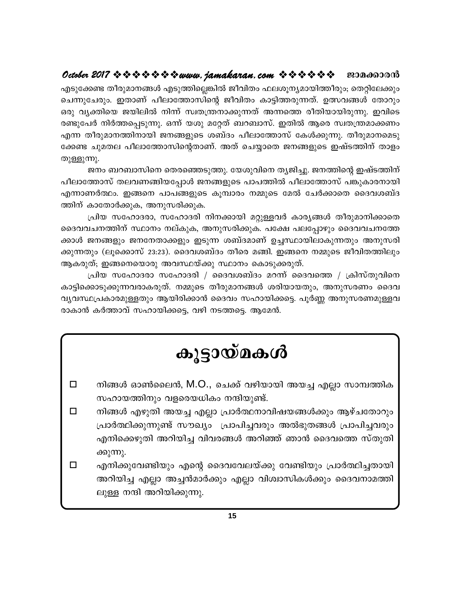എടുക്കേണ്ട തീരുമാനങ്ങൾ എടുത്തില്ലെങ്കിൽ ജീവിതം ഫലശൂന്യമായിത്തീരും; തെറ്റിലേക്കും ചെന്നുചേരും. ഇതാണ് പീലാത്തോസിന്റെ ജീവിതം കാട്ടിത്തരുന്നത്. ഉത്സവങ്ങൾ തോറും ഒരു വ്യക്തിയെ ജയിലിൽ നിന്ന് സ്വതന്ത്രനാക്കുന്നത് അന്നത്തെ രീതിയായിരുന്നു. ഇവിടെ രണ്ടുപേർ നിർത്തപ്പെടുന്നു. ഒന്ന് യശു മറ്റേത് ബറബാസ്. ഇതിൽ ആരെ സ്വതന്ത്രമാക്കണം എന്ന തീരുമാനത്തിനായി ജനങ്ങളുടെ ശബ്ദം പീലാത്തോസ് കേൾക്കുന്നു. തീരുമാനമെടു ക്കേണ്ട ചുമതല പീലാത്തോസിന്റെതാണ്. അത് ചെയ്യാതെ ജനങ്ങളുടെ ഇഷ്ടത്തിന് താളം തുള്ളുന്നു.

ജനം ബറബാസിനെ തെരഞ്ഞെടുത്തു. യേശുവിനെ തൃജിച്ചു. ജനത്തിന്റെ ഇഷ്ടത്തിന് പീലാത്തോസ് തലവണങ്ങിയപ്പോൾ ജനങ്ങളുടെ പാപത്തിൽ പീലാത്തോസ് പങ്കുകാരനായി എന്നാണർത്ഥം. ഇങ്ങനെ പാപങ്ങളുടെ കൂമ്പാരം നമ്മുടെ മേൽ ചേർക്കാതെ ദൈവശബ്ദ ത്തിന് കാതോർക്കുക, അനുസരിക്കുക.

പ്രിയ സഹോദരാ, സഹോദരി നിനക്കായി മറ്റുള്ളവർ കാര്യങ്ങൾ തീരുമാനിക്കാതെ ദൈവവചനത്തിന് സ്ഥാനം നല്കുക, അനുസരിക്കുക. പക്ഷേ പലപ്പോഴും ദൈവവചനത്തേ ക്കാൾ ജനങ്ങളും ജനനേതാക്കളും ഇടുന്ന ശബ്ദമാണ് ഉച്ചസ്ഥായിലാകുന്നതും അനുസരി ക്കുന്നതും (ലൂക്കൊസ് 23:23). ദൈവശബ്ദം തീരെ മങ്ങി. ഇങ്ങനെ നമ്മുടെ ജീവിതത്തിലും ആകരുത്; ഇങ്ങനെയൊരു അവസ്ഥയ്ക്കു സ്ഥാനം കൊടുക്കരുത്.

പ്രിയ സഹോദരാ സഹോദരി / ദൈവശബ്ദം മറന്ന് ദൈവത്തെ / ക്രിസ്തുവിനെ കാട്ടിക്കൊടുക്കുന്നവരാകരുത്. നമ്മുടെ തീരുമാനങ്ങൾ ശരിയായതും, അനുസരണം ദൈവ വൃവസ്ഥപ്രകാരമുള്ളതും ആയിരിക്കാൻ ദൈവം സഹായിക്കട്ടെ. പൂർണ്ണ അനുസരണമുള്ളവ രാകാൻ കർത്താവ് സഹായിക്കട്ടെ, വഴി നടത്തട്ടെ. ആമേൻ.

# കൂട്ടായ്മകൾ

- നിങ്ങൾ ഓൺലൈൻ, M.O., ചെക്ക് വഴിയായി അയച്ച എല്ലാ സാമ്പത്തിക  $\Box$ സഹായത്തിനും വളരെയധികം നന്ദിയുണ്ട്.
- നിങ്ങൾ എഴുതി അയച്ച എല്ലാ പ്രാർത്ഥനാവിഷയങ്ങൾക്കും ആഴ്ചതോറും  $\Box$ പ്രാർത്ഥിക്കുന്നുണ്ട് സൗഖ്യം പ്രാപിച്ചവരും അൽഭുതങ്ങൾ പ്രാപിച്ചവരും എനിക്കെഴുതി അറിയിച്ച വിവരങ്ങൾ അറിഞ്ഞ് ഞാൻ ദൈവത്തെ സ്തുതി ക്കുന്നു.
- $\Box$ എനിക്കുവേണ്ടിയും എന്റെ ദൈവവേലയ്ക്കു വേണ്ടിയും പ്രാർത്ഥിച്ചതായി അറിയിച്ച എല്ലാ അച്ചൻമാർക്കും എല്ലാ വിശ്വാസികൾക്കും ദൈവനാമത്തി ലുള്ള നന്ദി അറിയിക്കുന്നു.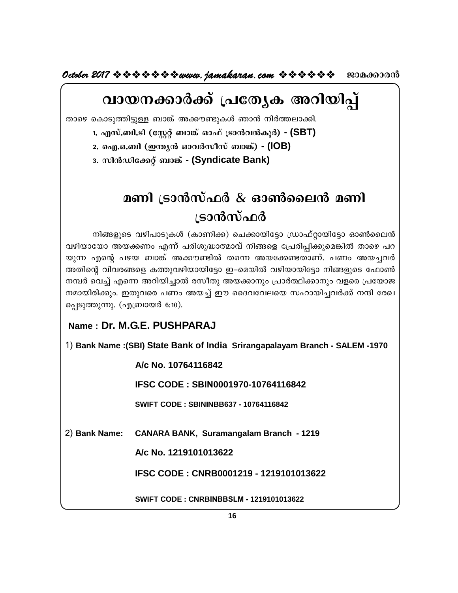**October 2017 www.jamakaran.com Pma¡mc³**

# വായനക്കാർക്ക് പ്രത്യേക അറിയിപ്പ് Xmsg sImSp -¯n -«pÅ \_m¦v A¡u -p -IÄ Rm³ \nÀ¯ -em-¡n.

1. എസ്.ബി.ടി (സ്റ്റേറ്റ് ബാങ്ക് ഓഫ് ട്രാൻവൻകൂർ) **-** (SBT)

<u>2. ഐ.ഒ.ബി (ഇന്ത്യൻ ഓവർസീസ് ബാങ്ക്)</u> - (IOB)

 $3.$  സിൻഡിക്കേറ്റ് ബാങ്ക് **- (Syndicate Bank)** 

# **മണി ട്രാൻസ്ഫർ & ഓൺലൈൻ മണി** ്രാൻസ്ഫർ

**മണി ട്രാൻസ്ഫർ & ഓൺലൈൻ മണി**<br>്രാൻസ്ഫർ<br><sup>നിങ്ങളുടെ വഴിപാടുകൾ (കാണിക്ക) ചെക്കായിട്ടോ ഡ്രാഫ്റ്റായിട്ടോ ഓൺലൈൻ<br>യോ അയക്കണം എന്ന് പരിശുദ്ധാത്മാവ് നിങ്ങളെ പ്രേരിപ്പിക്കുമെങ്കിൽ താഴെ പറ<br>എന്റെ പഴയ ബാങ്ക് അക്കൗണ്ടിൽ തന്നെ അയക്കേണ്ടതാ</sup> മണI (ടാന്ദസഫര് & ഓണാലെന് മണI<br>പ്രാൻസ്ഫർ<br>എഞ്ഞുടെ വഴിപാടുകൾ (കാണിക്ക) ചെക്കായിട്ടോ ഡ്രാഫ്റ്റായിട്ടോ ഓൺലൈൻ<br>വഴിയായോ അയക്കണം എന്ന് പരിശുദ്ധാത്മാവ് നിങ്ങളെ പ്രേരിപ്പിക്കുമെങ്കിൽ താഴെ പറ<br>തുന്ന എന്റെ പഴയ ബാങ്ക് അക്കൗണ്ടിൽ തന്നെ അയ **്രടാൻസ്ഫർ**<br>തിങ്ങളുടെ വഴിപാടുകൾ (കാണിക്ക) ചെക്കായിട്ടോ ഡ്രാഫ്റ്റായിട്ടോ ഓൺലൈൻ<br>യുന്ന എന്റെ പഴയ ബാങ്ക് അക്കൗണ്ടിൽ തന്നെ അയക്കേണ്ടതാണ്. പണം അയച്ചവർ<br>അതിന്റെ വിവരങ്ങളെ കത്തുവഴിയായിട്ടോ ഇ–മെയിൽ വഴിയായിട്ടോ നിങ്ങളുടെ ഫോൺ<br>നമ്പർ വ Mamagos വഴിപാടുകൾ (കാണിക്ക) ചെക്കായിട്ടോ ഡ്രാഫ്റ്റായിട്ടോ ഓൺലൈൻ<br>വഴിയായോ അയക്കണം എന്ന് പരിശുദ്ധാത്മാവ് നിങ്ങളെ പ്രേരിപ്പിക്കുമെങ്കിൽ താഴെ പറ<br>യുന്ന എന്റെ പഴയ ബാങ്ക് അക്കൗണ്ടിൽ തന്നെ അയക്കേണ്ടതാണ്. പണം അയച്ചവർ<br>അതിന്റെ വിവരങ് നിങ്ങളുടെ വഴിപാടുകൾ (കാണിക്ക) ചെക്കായിട്ടോ ഡ്രാഫ്റ്റായിട്ടോ ഓൺലൈൻ<br>വഴിയായോ അയക്കണം എന്ന് പരിശുദ്ധാത്മാവ് നിങ്ങളെ പ്രേരിപ്പിക്കുമെങ്കിൽ താഴെ പറ<br>യുന്ന എന്റെ പഴയ ബാങ്ക് അക്കൗണ്ടിൽ തന്നെ അയക്കേണ്ടതാണ്. പണം അയച്ചവർ<br>അതിന്റെ വിവര അതിന്റെ വിവരങ്ങളെ കത്തുവഴിയായിട്ടോ ഇ–മെയിൽ വഴിയായിട്ടോ നിങ്ങളുടെ ഫോൺ യുന്ന എന്റെ പഴയ ബാങ്ക് അക്കൗണ്ടിൽ തന്നെ അതിന്റെ വിവരങ്ങളെ കത്തുവഴിയായിട്ടോ ഇ–മെയി<br>നമ്പർ വെച്ച് എന്നെ അറിയിച്ചാൽ രസീതു അയക്കാറ<br>നമായിരിക്കും. ഇതുവരെ പണം അയച്ച് ഈ ദൈവ<br>പ്പെടുത്തുന്നു. (എബ്രായർ 6:10).<br>**Name : Dr. M.G.E. PUSHPA** 

1) **Bank Name :(SBI) State Bank of India Srirangapalayam Branch - SALEM -1970**

**A/c No. 10764116842**

**IFSC CODE : SBIN0001970-10764116842**

**SWIFT CODE : SBININBB637 - 10764116842**

2) **Bank Name: CANARA BANK, Suramangalam Branch - 1219**

**A/c No. 1219101013622**

**IFSC CODE : CNRB0001219 - 1219101013622**

**SWIFT CODE : CNRBINBBSLM - 1219101013622**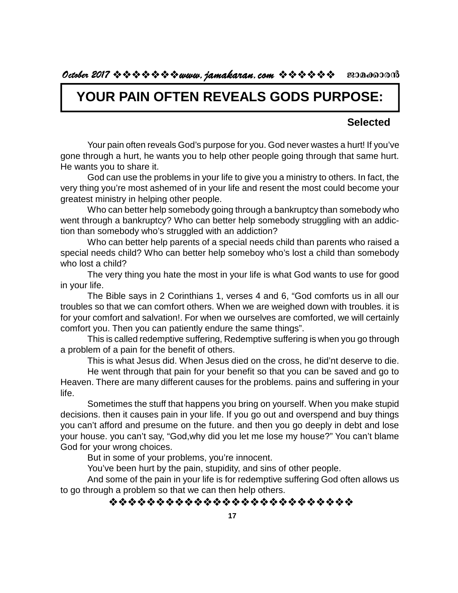# **YOUR PAIN OFTEN REVEALS GODS PURPOSE:**

## **Selected**

Your pain often reveals God's purpose for you. God never wastes a hurt! If you've gone through a hurt, he wants you to help other people going through that same hurt. He wants you to share it.

God can use the problems in your life to give you a ministry to others. In fact, the very thing you're most ashemed of in your life and resent the most could become your greatest ministry in helping other people.

Who can better help somebody going through a bankruptcy than somebody who went through a bankruptcy? Who can better help somebody struggling with an addiction than somebody who's struggled with an addiction?

Who can better help parents of a special needs child than parents who raised a special needs child? Who can better help someboy who's lost a child than somebody who lost a child?

The very thing you hate the most in your life is what God wants to use for good in your life.

The Bible says in 2 Corinthians 1, verses 4 and 6, "God comforts us in all our troubles so that we can comfort others. When we are weighed down with troubles. it is for your comfort and salvation!. For when we ourselves are comforted, we will certainly comfort you. Then you can patiently endure the same things".

This is called redemptive suffering, Redemptive suffering is when you go through a problem of a pain for the benefit of others.

This is what Jesus did. When Jesus died on the cross, he did'nt deserve to die.

He went through that pain for your benefit so that you can be saved and go to Heaven. There are many different causes for the problems. pains and suffering in your life.

Sometimes the stuff that happens you bring on yourself. When you make stupid decisions. then it causes pain in your life. If you go out and overspend and buy things you can't afford and presume on the future. and then you go deeply in debt and lose your house. you can't say, "God,why did you let me lose my house?" You can't blame God for your wrong choices.

But in some of your problems, you're innocent.

You've been hurt by the pain, stupidity, and sins of other people.

And some of the pain in your life is for redemptive suffering God often allows us to go through a problem so that we can then help others.

## \*\*\*\*\*\*\*\*\*\*\*\*\*\*\*\*\*\*\*\*\*\*\*\*\*\*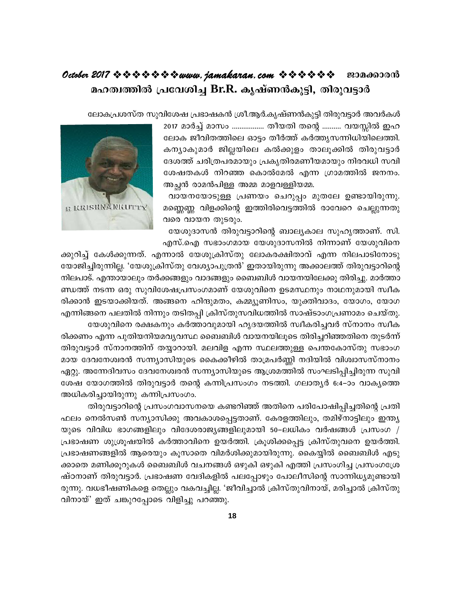# October 2017  $\rightsquigarrow \rightsquigarrow \rightsquigarrow \rightsquigarrow \rightsquigarrow www.$  jamakaran.com  $\rightsquigarrow \rightsquigarrow \rightsquigarrow \rightsquigarrow \rightsquigarrow w$ മഹത്വത്തിൽ പ്രവേശിച്ച Br.R. കൃഷ്ണൻകുട്ടി, തിരുവട്ടാർ

ലോകപ്രശസ്ത സുവിശേഷ പ്രഭാഷകൻ ശ്രീ.ആർ.കൃഷ്ണൻകുട്ടി തിരുവട്ടാർ അവർകൾ

2017 മാർച്ച് മാസം ................. തീയതി തന്റെ .......... വയസ്സിൽ ഇഹ ലോക ജീവിതത്തിലെ ഓട്ടം തീർത്ത് കർത്തൃസന്നിധിയിലെത്തി. കന്യാകുമാർ ജില്ലയിലെ കൽക്കുളം താലൂക്കിൽ തിരുവട്ടാർ ദേശത്ത് ചരിത്രപരമായും പ്രകൃതിരമണീയമായും നിരവധി സവി ശേഷതകൾ നിറഞ്ഞ കൊൽമേൽ എന്ന ഗ്രാമത്തിൽ ജനനം. അച്ഛൻ രാമൻപിള്ള അമ്മ മാളവള്ളിയമ്മ.

വായനയോടുള്ള പ്രണയം ചെറുപ്പം മുതലേ ഉണ്ടായിരുന്നു. മണ്ണെണ്ണ വിളക്കിന്റെ ഇത്തിരിവെട്ടത്തിൽ രാവേറെ ചെല്ലുന്നതു വരെ വായന തുടരും.



യേശുദാസൻ തിരുവട്ടാറിന്റെ ബാല്യകാല സുഹൃത്താണ്. സി. എസ്.ഐ സഭാംഗമായ യേശുദാസനിൽ നിന്നാണ് യേശുവിനെ

ക്കുറിച്ച് കേൾക്കുന്നത്. എന്നാൽ യേശുക്രിസ്തു ലോകരക്ഷിതാവ് എന്ന നിലപാടിനോടു യോജിച്ചിരുന്നില്ല. 'യേശുക്രിസ്തു വേശ്യാപുത്രൻ' ഇതായിരുന്നു അക്കാലത്ത് തിരുവട്ടാറിന്റെ നിലപാട്. എന്തായാലും തർക്കങ്ങളും വാദങ്ങളും ബൈബിൾ വായനയിലേക്കു തിരിച്ചു. മാർത്താ ണ്ഡത്ത് നടന്ന ഒരു സുവിശേഷപ്രസംഗമാണ് യേശുവിനെ ഉടമസ്ഥനും നാഥനുമായി സ്വീക രിക്കാൻ ഇടയാക്കിയത്. അങ്ങനെ ഹിന്ദുമതം, കമ്മ്യൂണിസം, യുക്തിവാദം, യോഗം, യോഗ എന്നിങ്ങനെ പലതിൽ നിന്നും തടിതപ്പി ക്രിസ്തുസവിധത്തിൽ സാഷ്ടാംഗപ്രണാമം ചെയ്തു. യേശുവിനെ രക്ഷകനും കർത്താവുമായി ഹൃദയത്തിൽ സ്ഥീകരിച്ചവർ സ്നാനം സ്ഥീക

രിക്കണം എന്ന പുതിയനിയമവ്യവസ്ഥ ബൈബിൾ വായനയിലൂടെ തിരിച്ചറിഞ്ഞതിനെ തുടർന്ന് തിരുവട്ടാർ സ്നാനത്തിന് തയ്യാറായി. മലവിള എന്ന സ്ഥലത്തുള്ള പെന്തകോസ്തു സഭാംഗ മായ ദേവനേശ്വരൻ സന്ന്യാസിയുടെ കൈക്കീഴിൽ താമ്രപർണ്ണി നദിയിൽ വിശ്വാസസ്നാനം ഏറ്റു. അന്നേദിവസം ദേവനേശ്വരൻ സന്ന്യാസിയുടെ ആശ്രമത്തിൽ സംഘടിപ്പിച്ചിരുന്ന സുവി ശേഷ യോഗത്തിൽ തിരുവട്ടാർ തന്റെ കന്നിപ്രസംഗം നടത്തി. ഗലാതൃർ 6:4–ാം വാകൃത്തെ അധികരിച്ചായിരുന്നു കന്നിപ്രസംഗം.

തിരുവട്ടാറിന്റെ പ്രസംഗവാസനയെ കണ്ടറിഞ്ഞ് അതിനെ പരിപോഷിപ്പിച്ചതിന്റെ പ്രതി ഫലം നെൽസൺ സന്യാസിക്കു അവകാശപ്പെട്ടതാണ്. കേരളത്തിലും, തമിഴ്നാട്ടിലും ഇന്ത്യ യുടെ വിവിധ ഭാഗങ്ങളിലും വിദേശരാജ്യങ്ങളിലുമായി 50–ലധികം വർഷങ്ങൾ പ്രസംഗ / പ്രഭാഷണ ശുശ്രൂഷയിൽ കർത്താവിനെ ഉയർത്തി. ക്രൂശിക്കപ്പെട്ട ക്രിസ്തുവനെ ഉയർത്തി. പ്രഭാഷണങ്ങളിൽ ആരെയും കൂസാതെ വിമർശിക്കുമായിരുന്നു. കൈയ്യിൽ ബൈബിൾ എടു ക്കാതെ മണിക്കൂറുകൾ ബൈബിൾ വചനങ്ങൾ ഒഴുകി ഒഴുകി എത്തി പ്രസംഗിച്ച പ്രസംഗശ്രേ ഷ്ഠനാണ് തിരുവട്ടാർ. പ്രഭാഷണ വേദികളിൽ പലപ്പോഴും പോലീസിന്റെ സാന്നിധ്യമുണ്ടായി രുന്നു. വധഭീഷണികളെ തെല്ലും വകവച്ചില്ല. 'ജീവിച്ചാൽ ക്രിസ്തുവിനായ്, മരിച്ചാൽ ക്രിസ്തു വിനായ്' ഇത് ചങ്കുറപ്പോടെ വിളിച്ചു പറഞ്ഞു.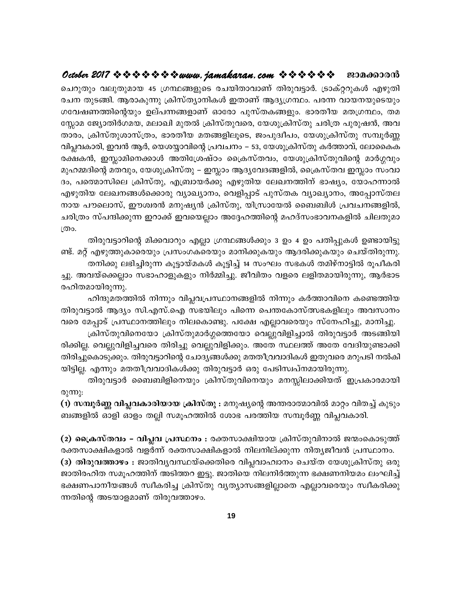# 

ചെറുതും വലുതുമായ 45 ഗ്രന്ഥങ്ങളുടെ രചയിതാവാണ് തിരുവട്ടാർ. ട്രാക്റ്ററുകൾ എഴുതി രചന തുടങ്ങി. ആരാകുന്നു ക്രിസ്ത്യാനികൾ ഇതാണ് ആദ്യഗ്രന്ഥം. പരന്ന വായനയുടെയും ഗവേഷണത്തിന്റെയും ഉല്പന്നങ്ങളാണ് ഓരോ പുസ്തകങ്ങളും. ഭാരതീയ മതഗ്രന്ഥം, തമ സ്സോമ ജ്യോതിർഗമയ, മലാഖി മുതൽ ക്രിസ്തുവരെ, യേശുക്രിസ്തു ചരിത്ര പുരുഷൻ, അവ താരം, ക്രിസ്തുശാസ്ത്രം, ഭാരതീയ മതങ്ങളിലൂടെ, ജംപുദ്വീപം, യേശുക്രിസ്തു സമ്പൂർണ്ണ വിപ്ലവകാരി, ഇവൻ ആർ, യെശയ്യാവിന്റെ പ്രവചനം – 53, യേശുക്രിസ്തു കർത്താവ്, ലോകൈക രക്ഷകൻ, ഇസ്ലാമിനെക്കാൾ അതിശ്രേഷ്ഠം ക്രൈസ്തവം, യേശുക്രിസ്തുവിന്റെ മാർഗ്ഗവും മുഹമ്മദിന്റെ മതവും, യേശുക്രിസ്തു – ഇസ്ലാം ആദ്യവേദങ്ങളിൽ, ക്രൈസ്തവ ഇസ്ലാം സംവാ ദം, പത്മൊസിലെ ക്രിസ്തു, എബ്രായർക്കു എഴുതിയ ലേഖനത്തിന് ഭാഷ്യം, യോഹന്നാൽ എഴുതിയ ലേഖനങ്ങൾക്കൊരു വ്യാഖ്യാനം, വെളിപ്പാട് പുസ്തക വ്യാഖ്യാനം, അപ്പോസ്തല നായ പൗലൊസ്, ഈശ്വരൻ മനുഷ്യൻ ക്രിസ്തു, യിസ്രായേൽ ബൈബിൾ പ്രവചനങ്ങളിൽ, ചരിത്രം സ്പന്ദിക്കുന്ന ഇറാക്ക് ഇവയെല്ലാം അദ്ദേഹത്തിന്റെ മഹദ്സംഭാവനകളിൽ ചിലതുമാ ത്രം.

തിരുവട്ടാറിന്റെ മിക്കവാറും എല്ലാ ഗ്രന്ഥങ്ങൾക്കും 3 ഉം 4 ഉം പതിപ്പുകൾ ഉണ്ടായിട്ടു ണ്ട്. മറ്റ് എഴുത്തുകാരെയും പ്രസംഗകരെയും മാനിക്കുകയും ആദരിക്കുകയും ചെയ്തിരുന്നു. തനിക്കു ലഭിച്ചിരുന്ന കൂട്ടായ്മകൾ കൂട്ടിച്ച് 14 സംഘം സഭകൾ തമിഴ്നാട്ടിൽ രൂപീകരി ച്ചു. അവയ്ക്കെല്ലാം സഭാഹാളുകളും നിർമ്മിച്ചു. ജീവിതം വളരെ ലളിതമായിരുന്നു, ആർഭാട

രഹിതമായിരുന്നു.

ഹിന്ദുമതത്തിൽ നിന്നും വിപ്ലവപ്രസ്ഥാനങ്ങളിൽ നിന്നും കർത്താവിനെ കണ്ടെത്തിയ തിരുവട്ടാൽ ആദ്യം സി.എസ്.ഐ സഭയിലും പിന്നെ പെന്തകോസ്ത്സഭകളിലും അവസാനം വരെ മേപ്പാട് പ്രസ്ഥാനത്തിലും നിലകൊണ്ടു. പക്ഷേ എല്ലാവരെയും സ്നേഹിച്ചു, മാനിച്ചു.

ക്രിസ്തുവിനെയോ ക്രിസ്തുമാർഗ്ഗത്തെയോ വെല്ലുവിളിച്ചാൽ തിരുവട്ടാർ അടങ്ങിയി രിക്കില്ല. വെല്ലുവിളിച്ചവരെ തിരിച്ചു വെല്ലുവിളിക്കും. അതേ സ്ഥലത്ത് അതേ വേദിയുണ്ടാക്കി തിരിച്ചുകൊടുക്കും. തിരുവട്ടാറിന്റെ ചോദ്യങ്ങൾക്കു മതതീവ്രവാദികൾ ഇതുവരെ മറുപടി നൽകി യിട്ടില്ല. എന്നും മതതീവ്രവാദികൾക്കു തിരുവട്ടാർ ഒരു പേടിസ്ഥപ്നമായിരുന്നു.

തിരുവട്ടാർ ബൈബിളിനെയും ക്രിസ്തുവിനെയും മനസ്സിലാക്കിയത് ഇപ്രകാരമായി രുന്നു:

(1) സമ്പൂർണ്ണ വിപ്ലവകാരിയായ ക്രിസ്തു : മനുഷ്യന്റെ അന്തരാത്മാവിൽ മാറ്റം വിതച്ച് കുടും ബങ്ങളിൽ ഓളി ഓളം തല്ലി സമൂഹത്തിൽ ശോഭ പരത്തിയ സമ്പൂർണ്ണ വിപ്ലവകാരി.

(2) ക്രൈസ്തവം – വിപ്ലവ പ്രസ്ഥനം : രക്തസാക്ഷിയായ ക്രിസ്തുവിനാൽ ജന്മംകൊടുത്ത് രക്തസാക്ഷികളാൽ വളർന്ന് രക്തസാക്ഷികളാൽ നിലനില്ക്കുന്ന നിതൃജീവൻ പ്രസ്ഥാനം.

(3) തിരുവത്താഴം : ജാതിവ്യവസ്ഥയ്ക്കെതിരെ വിപ്ലവാഹ്വാനം ചെയ്ത യേശുക്രിസ്തു ഒരു ജാതിരഹിത സമൂഹത്തിന് അടിത്തറ ഇട്ടു. ജാതിയെ നിലനിർത്തുന്ന ഭക്ഷണനിയമം ലംഘിച്ച് ഭക്ഷണപാനീയങ്ങൾ സ്വീകരിച്ച ക്രിസ്തു വ്യത്യാസങ്ങളില്ലാതെ എല്ലാവരെയും സ്വീകരിക്കു ന്നതിന്റെ അടയാളമാണ് തിരുവത്താഴം.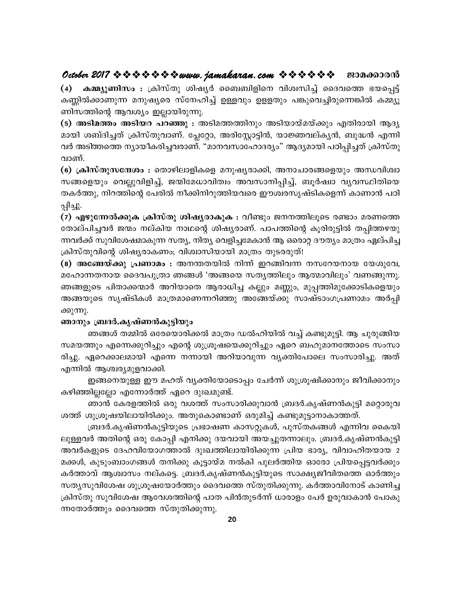# October 2017  $\Leftrightarrow \Leftrightarrow \Leftrightarrow \Leftrightarrow \Leftrightarrow www$ . jamakaran. com  $\Leftrightarrow \Leftrightarrow \Leftrightarrow \Leftrightarrow \Leftrightarrow w$  ezonasororo

കമ്മ്യൂണിസം : ക്രിസ്തു ശിഷ്യർ ബൈബിളിനെ വിശ്വസിച്ച് ദൈവത്തെ ഭയപ്പെട്ട്  $\left( 4\right)$ കണ്ണിൽക്കാണുന്ന മനുഷ്യരെ സ്നേഹിച്ച് ഉള്ളവും ഉളളതും പങ്കുവെച്ചിരുന്നെങ്കിൽ കമ്മ്യൂ ണിസത്തിന്റെ ആവശ്യം ഇല്ലായിരുന്നു.

(5) അടിമത്തം അടിയറ പറഞ്ഞു : അടിമത്തത്തിനും അടിയായ്മയ്ക്കും എതിരായി ആദ്യ മായി ശബ്ദിച്ചത് ക്രിസ്തുവാണ്. പ്ലേറ്റോ, അരിസ്റ്റോട്ടിൻ, യാജ്ഞവല്കൃൻ, ബുദ്ധൻ എന്നി വർ അടിത്തത്തെ ന്യായീകരിച്ചവരാണ്. "മാനവസാഹോദര്യം" ആദ്യമായി പഠിപ്പിച്ചത് ക്രിസ്തു വാണ്.

(6) ക്രിസ്തുസന്ദേശം : തൊഴിലാളികളെ മനുഷ്യരാക്കി, അനാചാരങ്ങളെയും അന്ധവിശ്വാ സങ്ങളെയും വെല്ലുവിളിച്ച്, ജന്മിമേധാവിത്വം അവസാനിപ്പിച്ച്, ബൂർഷ്വാ വ്യവസ്ഥിതിയെ തകർത്തു, നിറത്തിന്റെ പേരിൽ നീക്കിനിറുത്തിയവരെ ഈശ്വരസൃഷ്ടികളെന്ന് കാണാൻ പഠി പ്പിച്ചു.

(7) എഴുന്നേൽക്കുക ക്രിസ്തു ശിഷ്യരാകുക : വീണ്ടും ജനനത്തിലൂടെ രണ്ടാം മരണത്തെ തോല്പിച്ചവർ ജന്മം നല്കിയ നാഥന്റെ ശിഷ്യരാണ്. പാപത്തിന്റെ കൂരിരുട്ടിൽ തപ്പിത്തഴയു ന്നവർക്ക് സുവിശേഷമാകുന്ന സത്യ, നിത്യ വെളിച്ചമേകാൻ ആ ഒരൊറ്റ ദൗത്യം മാത്രം ഏല്പിച്ച ക്രിസ്തുവിന്റെ ശിഷ്യരാകണം; വിശ്വാസിയായി മാത്രം തുടരരുത്!

(8) അങ്ങേയ്ക്കു പ്രണാമം : അനന്തതയിൽ നിന്ന് ഇറങ്ങിവന്ന നസറേയനായ യേശുവേ, മഹോന്നതനായ ദൈവപുത്രാ ഞങ്ങൾ 'അങ്ങയെ സതൃത്തിലും ആത്മാവിലും' വണങ്ങുന്നു. ഞങ്ങളുടെ പിതാക്കന്മാർ അറിയാതെ ആരാധിച്ച കല്ലും മണ്ണും, മുപ്പത്തിമുക്കോടികളെയും അങ്ങയുടെ സൃഷ്ടികൾ മാത്രമാണെന്നറിഞ്ഞു അങ്ങേയ്ക്കു സാഷ്ടാംഗപ്രണാമം അർപ്പി ക്കുന്നു.

## ഞാനും ബ്രദർ.കൃഷ്ണൻകുട്ടിയും

ഞങ്ങൾ തമ്മിൽ ഒരേയൊരിക്കൽ മാത്രം ഡൽഹിയിൽ വച്ച് കണ്ടുമുട്ടി. ആ ചുരുങ്ങിയ സമയത്തും എന്നെക്കുറിച്ചും എന്റെ ശുശ്രൂഷയെക്കുറിച്ചും ഏറെ ബഹുമാനത്തോടെ സംസാ രിച്ചു. ഏറെക്കാലമായി എന്നെ നന്നായി അറിയാവുന്ന വൃക്തിപോലെ സംസാരിച്ചു. അത് എന്നിൽ ആശ്ചര്യമുളവാക്കി.

ഇങ്ങനെയുള്ള ഈ മഹത് വ്യക്തിയോടൊപ്പം ചേർന്ന് ശുശ്രൂഷിക്കാനും ജീവിക്കാനും കഴിഞ്ഞില്ലല്ലോ എന്നോർത്ത് ഏറെ ദുഃഖമുണ്ട്.

ഞാൻ കേരളത്തിൽ ഒരു വശത്ത് സംസാരിക്കുവാൻ ബ്രദർ.കൃഷ്ണൻകുട്ടി മറ്റൊരുവ ശത്ത് ശുശ്രൂഷയിലായിരിക്കും. അതുകൊണ്ടാണ് ഒരുമിച്ച് കണ്ടുമുട്ടാനാകാത്തത്.

ബ്രദർ.കൃഷ്ണൻകുട്ടിയുടെ പ്രഭാഷണ കാസറ്റുകൾ, പുസ്തകങ്ങൾ എന്നിവ കൈയി ലുള്ളവർ അതിന്റെ ഒരു കോപ്പി എനിക്കു ദയവായി അയച്ചുതന്നാലും. ബ്രദർ.കൃഷ്ണൻകുട്ടി അവർകളുടെ ദേഹവിയോഗത്താൽ ദുഃഖത്തിലായിരിക്കുന്ന പ്രിയ ഭാര്യ, വിവാഹിതയായ 2 മക്കൾ, കുടുംബാംഗങ്ങൾ തനിക്കു കൂട്ടായ്മ നൽകി പുലർത്തിയ ഓരോ പ്രിയപ്പെട്ടവർക്കും കർത്താവ് ആശ്വാസം നല്കട്ടെ. ബ്രദർ.കൃഷ്ണൻകുട്ടിയുടെ സാക്ഷ്യജീവിതത്തെ ഓർത്തും സത്യസുവിശേഷ ശുശ്രൂഷയോർത്തും ദൈവത്തെ സ്തുതിക്കുന്നു. കർത്താവിനോട് കാണിച്ച ക്രിസ്തു സുവിശേഷ ആവേശത്തിന്റെ പാത പിൻതുടർന്ന് ധാരാളം പേർ ഉരുവാകാൻ പോകു ന്നതോർത്തും ദൈവത്തെ സ്തുതിക്കുന്നു.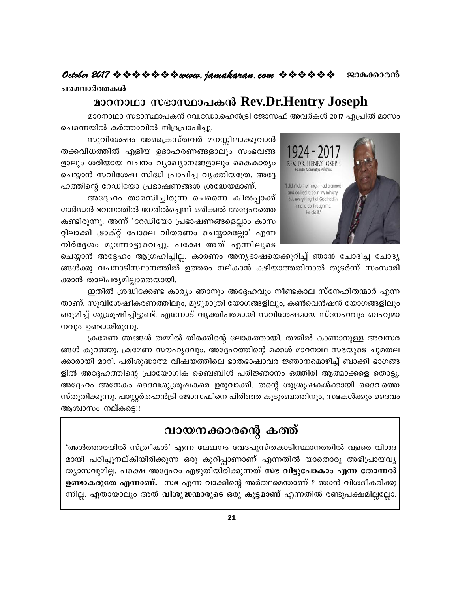ചരമവാർത്തകൾ

# മാറനാഥാ സഭാസ്ഥാപകൻ Rev.Dr.Hentry Joseph

മാറനാഥാ സഭാസ്ഥാപകൻ റവ.ഡോ.ഹെൻട്രി ജോസഫ് അവർകൾ 2017 ഏപ്രിൽ മാസം ചെന്നെയിൽ കർത്താവിൽ നിദ്രപ്രാപിച്ചു.



സുവിശേഷം അപ്രൈസ്തവർ മനസ്സിലാക്കുവാൻ തക്കവിധത്തിൽ എളിയ ഉദാഹരണങ്ങളാലും സംഭവങ്ങ ളാലും ശരിയായ വചനം വ്യാഖ്യാനങ്ങളാലും കൈകാര്യം ചെയ്യാൻ സവിശേഷ സിദ്ധി പ്രാപിച്ച വ്യക്തിയത്രേ. അദ്ദേ ഹത്തിന്റെ റേഡിയോ പ്രഭാഷണങ്ങൾ ശ്രദ്ധേയമാണ്.

അദ്ദേഹം താമസിച്ചിരുന്ന ചെന്നൈ കീൽപ്പാക്ക് ഗാർഡൻ ഭവനത്തിൽ നേരിൽച്ചെന്ന് ഒരിക്കൽ അദ്ദേഹത്തെ കണ്ടിരുന്നു. അന്ന് 'റേഡിയോ പ്രഭാഷണങ്ങളെല്ലാം കാസ റ്റിലാക്കി ട്രാക്റ്റ് പോലെ വിതരണം ചെയ്യാമല്ലോ' എന്ന നിർദ്ദേശം മുന്നോട്ടുവെച്ചു. പക്ഷേ അത് എന്നിലൂടെ

ചെയ്യാൻ അദ്ദേഹം ആഗ്രഹിച്ചില്ല. കാരണം അനൃഭാഷയെക്കുറിച്ച് ഞാൻ ചോദിച്ച ചോദ്യ ങ്ങൾക്കു വചനാടിസ്ഥാനത്തിൽ ഉത്തരം നല്കാൻ കഴിയാത്തതിനാൽ തുടർന്ന് സംസാരി ക്കാൻ താല്പര്യമില്ലാതെയായി.

ഇതിൽ ശ്രദ്ധിക്കേണ്ട കാര്യം ഞാനും അദ്ദേഹവും നീണ്ടകാല സ്നേഹിതന്മാർ എന്ന താണ്. സുവിശേഷീകരണത്തിലും, മുഴുരാത്രി യോഗങ്ങളിലും, കൺവെൻഷൻ യോഗങ്ങളിലും ഒരുമിച്ച് ശുശ്രുഷിച്ചിട്ടുണ്ട്. എന്നോട് വ്യക്തിപരമായി സവിശേഷമായ സ്നേഹവും ബഹുമാ നവും ഉണ്ടായിരുന്നു.

ക്രമേണ ഞങ്ങൾ തമ്മിൽ തിരക്കിന്റെ ലോകത്തായി. തമ്മിൽ കാണാനുള്ള അവസര ങ്ങൾ കുറഞ്ഞു. ക്രമേണ സൗഹൃദവും. അദ്ദേഹത്തിന്റെ മക്കൾ മാറനാഥ സഭയുടെ ചുമതല ക്കാരായി മാറി. പരിശുദ്ധാത്മ വിഷയത്തിലെ ഭാതഭാഷാവര ജ്ഞാനമൊഴിച്ച് ബാക്കി ഭാഗങ്ങ ളിൽ അദ്ദേഹത്തിന്റെ പ്രായോഗിക ബൈബിൾ പരിജ്ഞാനം ഒത്തിരി ആത്മാക്കളെ തൊട്ടു. അദ്ദേഹം അനേകം ദൈവശുശ്രൂഷകരെ ഉരുവാക്കി. തന്റെ ശുശ്രൂഷകൾക്കായി ദൈവത്തെ സ്തുതിക്കുന്നു. പാസ്റ്റർ.ഹെൻട്രി ജോസഫിനെ പിരിഞ്ഞ കുടുംബത്തിനും, സഭകൾക്കും ദൈവം ആശ്വാസം നല്കട്ടെ!!

# വായനക്കാരന്റെ കത്ത്

'അൾത്താരയിൽ സ്ത്രീകൾ' എന്ന ലേഖനം വേദപുസ്തകാടിസ്ഥാനത്തിൽ വളരെ വിശദ മായി പഠിച്ചുനല്കിയിരിക്കുന്ന ഒരു കുറിപ്പാണാണ് എന്നതിൽ യാതൊരു അഭിപ്രായവൃ ത്യാസവുമില്ല. പക്ഷെ അദ്ദേഹം എഴുതിയിരിക്കുന്നത് സഭ വിട്ടുപോകാം എന്ന തോന്നൽ **ഉണ്ടാകരുതേ എന്നാണ്.** സഭ എന്ന വാക്കിന്റെ അർത്ഥമെന്താണ് ? ഞാൻ വിശദീകരിക്കു ന്നില്ല. ഏതായാലും അത് **വിശുദ്ധന്മാരുടെ ഒരു കൂട്ടമാണ്** എന്നതിൽ രണ്ടുപക്ഷമില്ലല്ലോ.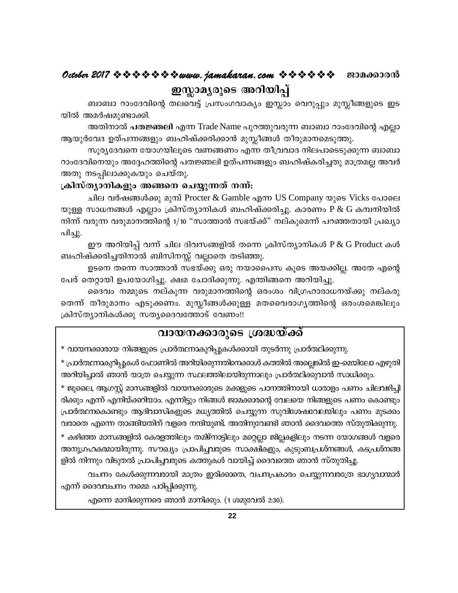# October 2017 \* \* \* \* \* \* \* \* www.jamakaran.com \* \* \* \* \* \* \* 2010600010 ഇസ്ലാമൃരുടെ അറിയിപ്പ്

ബാബാ റാംദേവിന്റെ തലവെട്ട് പ്രസംഗവാക്യം ഇസ്ലാം വെറുപ്പും മുസ്ലീങ്ങളുടെ ഇട യിൽ അമർഷമുണ്ടാക്കി.

അതിനാൽ **പതജ്ഞലി** എന്ന Trade Name പുറത്തുവരുന്ന ബാബാ റാംദേവിന്റെ എല്ലാ ആയുർവേദ ഉത്പന്നങ്ങളും ബഹിഷ്ക്കരിക്കാൻ മുസ്ലീങ്ങൾ തീരുമാനമെടുത്തു.

സൂര്യദേവനെ യോഗയിലൂടെ വണങ്ങണം എന്ന തീവ്രവാദ നിലപാടെടുക്കുന്ന ബാബാ റാംദേവിനെയും അദ്ദേഹത്തിന്റെ പതജ്ഞലി ഉത്പന്നങ്ങളും ബഹിഷ്കരിച്ചതു മാത്രമല്ല അവർ അതു നടപ്പിലാക്കുകയും ചെയ്തു.

## ക്രിസ്ത്യാനികളും അങ്ങനെ ചെയ്യുന്നത് നന്ന്:

ചില വർഷങ്ങൾക്കു മുമ്പ് Procter & Gamble എന്ന US Company യുടെ Vicks പോലെ യുള്ള സാധനങ്ങൾ എല്ലാം ക്രിസ്ത്യാനികൾ ബഹിഷ്ക്കരിച്ചു. കാരണം P & G കമ്പനിയിൽ നിന്ന് വരുന്ന വരുമാനത്തിന്റെ 1/10 "സാത്താൻ സഭയ്ക്ക്" നല്കുമെന്ന് പറഞ്ഞതായി പ്രഖ്യാ പിച്ചു.

ഈ അറിയിപ്പ് വന്ന് ചില ദിവസങ്ങളിൽ തന്നെ ക്രിസ്ത്യാനികൾ P & G Product കൾ ബഹിഷ്ക്കരിച്ചതിനാൽ ബിസിനസ്സ് വല്ലാതെ തടിഞ്ഞു.

ഉടനെ തന്നെ സാത്താൻ സഭയ്ക്കു ഒരു നയാപൈസ കൂടെ അയക്കില്ല. അതേ എന്റെ പേര് തെറ്റായി ഉപയോഗിച്ചു. ക്ഷമ ചോദിക്കുന്നു. എന്തിങ്ങനെ അറിയിച്ചു.

ദൈവം നമ്മുടെ നല്കുന്ന വരുമാനത്തിന്റെ ഒരംശം വിഗ്രഹാരാധനയ്ക്കു നല്കരു തെന്ന് തീരുമാനം എടുക്കണം. മുസ്ലീങ്ങൾക്കുള്ള മതവൈരാഗൃത്തിന്റെ ഒരംശമെങ്കിലും ക്രിസ്ത്യാനികൾക്കു സത്യദൈവത്തോട് വേണം!!

# <u>വായനക്കാരുടെ ശ്രദ്ധയ്ക്ക്</u>

\* വായനക്കാരായ നിങ്ങളുടെ പ്രാർത്ഥനാകുറിപ്പുകൾക്കായി തുടർന്നു പ്രാർത്ഥിക്കുന്നു.

\* പ്രാർത്ഥനാകുറിപ്പുകൾ ഫോണിൽ അറിയിക്കുന്നതിനെക്കാൾ കത്തിൽ അല്ലെങ്കിൽ ഇ–മെയിലോ എഴുതി അറിയിച്ചാൽ ഞാൻ യാത്ര ചെയ്യുന്ന സ്ഥലത്തിലായിരുന്നാലും പ്രാർത്ഥിക്കുവാൻ സാധിക്കും.

\* ജുലൈ, ആഗസ്റ്റ് മാസങ്ങളിൽ വായനക്കാരുടെ മക്കളുടെ പഠനത്തിനായി ധാരാളം പണം ചിലവഴിച്ചി രിക്കും എന്ന് എനിയ്ക്കറിയാം. എന്നിട്ടും നിങ്ങൾ ജാമക്കാരന്റെ വേലയെ നിങ്ങളുടെ പണം കൊണ്ടും പ്രാർത്ഥനകൊണ്ടും ആദിവാസികളുടെ മധൃത്തിൽ ചെയ്യുന്ന സുവിശേഷവേലയിലും പണം മുടക്കം വരാതെ എന്നെ താങ്ങിയതിന് വളരെ നന്ദിയുണ്ട്. അതിനുവേണ്ടി ഞാൻ ദൈവത്തെ സ്തുതിക്കുന്നു.

\* കഴിഞ്ഞ മാസങ്ങളിൽ കേരളത്തിലും തമിഴ്നാട്ടിലും മറ്റെല്ലാ ജില്ലകളിലും നടന്ന യോഗങ്ങൾ വളരെ അനുഗ്രഹകമ്മായിരുന്നു. സൗഖ്യം പ്രാപിച്ചവരുടെ സാക്ഷികളും, കുടുംബപ്രശ്നങ്ങൾ, കടപ്രശ്നങ്ങ ളിൽ നിന്നും വിടുതൽ പ്രാപിച്ചവരുടെ കത്തുകൾ വായിച്ച് ദൈവത്തെ ഞാൻ സ്തുതിച്ചു.

വചനം കേൾക്കുന്നവരായി മാത്രം ഇരിക്കാതെ, വചനപ്രകാരം ചെയ്യുന്നവരത്രേ ഭാഗ്യവാന്മാർ എന്ന് ദൈവവചനം നമ്മെ പഠിപ്പിക്കുന്നു.

എന്നെ മാനിക്കുന്നരെ ഞാൻ മാനിക്കും. (1 ശമുവേൽ 2:30).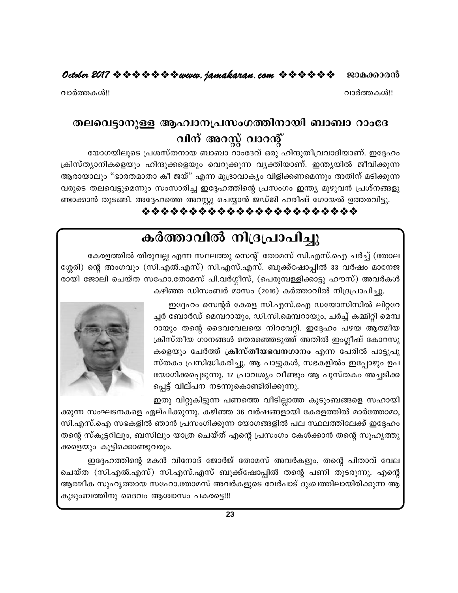#### October 2017  $\Leftrightarrow$   $\Leftrightarrow$   $\Leftrightarrow$   $\Leftrightarrow$   $\Leftrightarrow$   $\Leftrightarrow$  wurw. jamakaran.com  $\Leftrightarrow$   $\Leftrightarrow$   $\Leftrightarrow$   $\Leftrightarrow$   $\Leftrightarrow$ ജാമക്കാരൻ

വാർത്തകൾ!!

വാർത്തകൾ!!

# തലവെട്ടാനുള്ള ആഹ്വാനപ്രസംഗത്തിനായി ബാബാ റാംദേ വിന് അറസ്റ്റ് വാറന്റ്

യോഗയിലൂടെ പ്രശസ്തനായ ബാബാ റാംദേവ് ഒരു ഹിന്ദുതീവ്രവാദിയാണ്. ഇദ്ദേഹം ക്രിസ്ത്യാനികളെയും ഹിന്ദുക്കളെയും വെറുക്കുന്ന വ്യക്തിയാണ്. ഇന്ത്യയിൽ ജീവിക്കുന്ന ആരായാലും "ഭാരതമാതാ കീ ജയ്" എന്ന മുദ്രാവാകൃം വിളിക്കണമെന്നും അതിന് മടിക്കുന്ന വരുടെ തലവെട്ടുമെന്നും സംസാരിച്ച ഇദ്ദേഹത്തിന്റെ പ്രസംഗം ഇന്ത്യ മുഴുവൻ പ്രശ്നങ്ങളു ണ്ടാക്കാൻ തുടങ്ങി. അദ്ദേഹത്തെ അറസ്റ്റു ചെയ്യാൻ ജഡ്ജി ഹരീഷ് ഗോയൽ ഉത്തരവിട്ടു.

# \*\*\*\*\*\*\*\*\*\*\*\*\*\*\*\*\*\*\*\*\*\*\*

# കർത്താവിൽ നിദ്രപ്രാപിച്ചു

കേരളത്തിൽ തിരുവല്ല എന്ന സ്ഥലത്തു സെന്റ് തോമസ് സി.എസ്.ഐ ചർച്ച് (തോല ശ്ശേരി) ന്റെ അംഗവും (സി.എൽ.എസ്) സി.എസ്.എസ്. ബുക്ക്ഷോപ്പിൽ 33 വർഷം മാനേജ രായി ജോലി ചെയ്ത സഹോ.തോമസ് പി.വർഗ്ഗീസ്, (പെരുമ്പള്ളിക്കാട്ടു ഹൗസ്) അവർകൾ കഴിഞ്ഞ ഡിസംബർ മാസം (2016) കർത്താവിൽ നിദ്രപ്രാപിച്ചു.

> ഇദ്ദേഹം സെന്റർ കേരള സി.എസ്.ഐ ഡയോസിസിൽ ലിറ്ററേ ച്ചർ ബോർഡ് മെമ്പറായും, ഡി.സി.മെമ്പറായും, ചർച്ച് കമ്മിറ്റി മെമ്പ റായും തന്റെ ദൈവവേലയെ നിറവേറ്റി. ഇദ്ദേഹം പഴയ ആത്മീയ ക്രിസ്തീയ ഗാനങ്ങൾ തെരഞ്ഞെടുത്ത് അതിൽ ഇംഗ്ലീഷ് കോറസു കളെയും ചേർത്ത് ക്രിസ്തീയഭവനഗാനം എന്ന പേരിൽ പാട്ടുപു സ്തകം പ്രസിദ്ധീകരിച്ചു. ആ പാട്ടുകൾ, സഭകളിൽം ഇപ്പോഴും ഉപ യോഗിക്കപ്പെടുന്നു. 17 പ്രാവശ്യം വീണ്ടും ആ പുസ്തകം അച്ചടിക്ക പ്പെട്ട് വില്പന നടന്നുകൊണ്ടിരിക്കുന്നു.

> ഇതു വിറ്റുകിട്ടുന്ന പണത്തെ വീടില്ലാത്ത കുടുംബങ്ങളെ സഹായി

ക്കുന്ന സംഘടനകളെ ഏല്പിക്കുന്നു. കഴിഞ്ഞ 36 വർഷങ്ങളായി കേരളത്തിൽ മാർത്തോമാ, സി.എസ്.ഐ സഭകളിൽ ഞാൻ പ്രസംഗിക്കുന്ന യോഗങ്ങളിൽ പല സ്ഥലത്തിലേക്ക് ഇദ്ദേഹം തന്റെ സ്കൂട്ടറിലും, ബസിലും യാത്ര ചെയ്ത് എന്റെ പ്രസംഗം കേൾക്കാൻ തന്റെ സുഹൃത്തു ക്കളെയും കൂട്ടിക്കൊണ്ടുവരും.

ഇദ്ദേഹത്തിന്റെ മകൻ വിനോദ് ജോർജ് തോമസ് അവർകളും, തന്റെ പിതാവ് വേല ചെയ്ത (സി.എൽ.എസ്) സി.എസ്.എസ് ബുക്ക്ഷോപ്പിൽ തന്റെ പണി തുടരുന്നു. എന്റെ ആത്മീക സുഹൃത്തായ സഹോ.തോമസ് അവർകളുടെ വേർപാട് ദുഃഖത്തിലായിരിക്കുന്ന ആ കുടുംബത്തിനു ദൈവം ആശ്വാസം പകരട്ടെ!!!